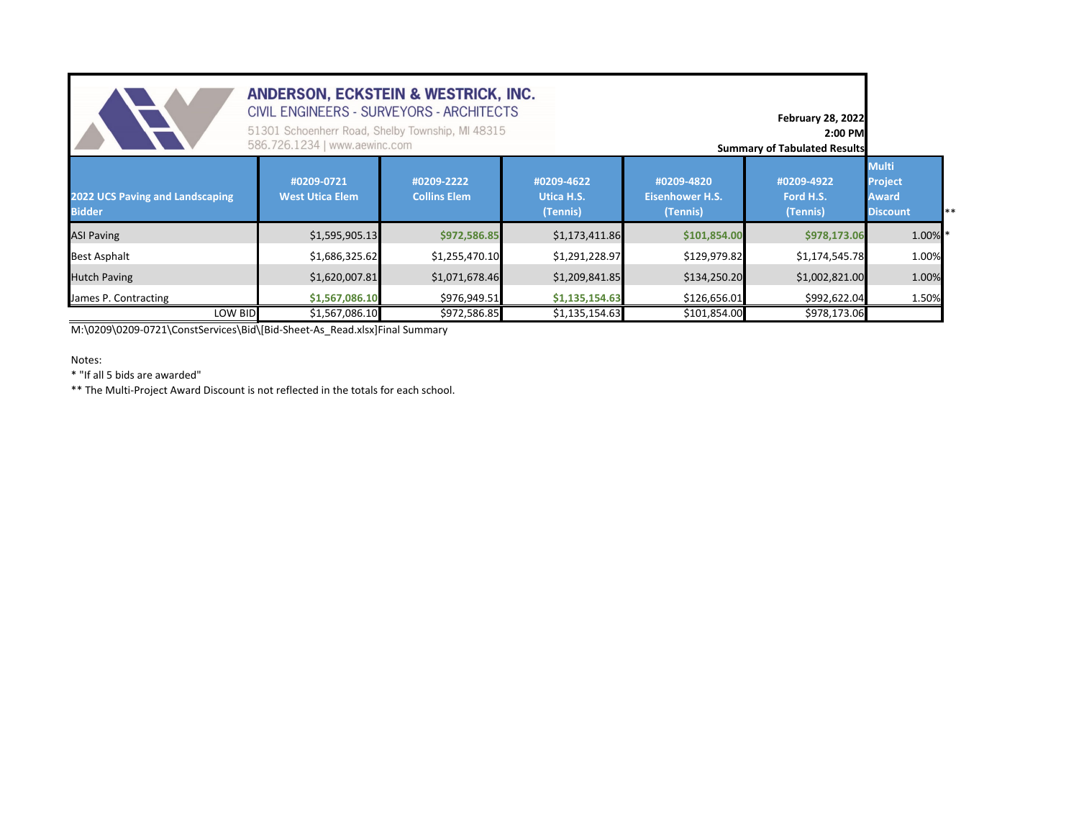| ANDERSON, ECKSTEIN & WESTRICK, INC.<br>CIVIL ENGINEERS - SURVEYORS - ARCHITECTS<br><b>February 28, 2022</b><br>51301 Schoenherr Road, Shelby Township, MI 48315<br>2:00 PM<br>586.726.1234   www.aewinc.com<br><b>Summary of Tabulated Results</b> |                                                                  |                                   |                                      |                                                  |                                     |                                                                            |  |  |  |  |  |
|----------------------------------------------------------------------------------------------------------------------------------------------------------------------------------------------------------------------------------------------------|------------------------------------------------------------------|-----------------------------------|--------------------------------------|--------------------------------------------------|-------------------------------------|----------------------------------------------------------------------------|--|--|--|--|--|
| 2022 UCS Paving and Landscaping<br><b>Bidder</b>                                                                                                                                                                                                   | #0209-0721<br><b>West Utica Elem</b>                             | #0209-2222<br><b>Collins Elem</b> | #0209-4622<br>Utica H.S.<br>(Tennis) | #0209-4820<br><b>Eisenhower H.S.</b><br>(Tennis) | #0209-4922<br>Ford H.S.<br>(Tennis) | <b>Multi</b><br><b>Project</b><br><b>Award</b><br><b>Discount</b><br>$***$ |  |  |  |  |  |
| <b>ASI Paving</b>                                                                                                                                                                                                                                  | \$1,595,905.13                                                   | \$972,586.85                      | \$1,173,411.86                       | \$101,854.00                                     | \$978,173.06                        | 1.00% *                                                                    |  |  |  |  |  |
| <b>Best Asphalt</b>                                                                                                                                                                                                                                | \$1,686,325.62                                                   | \$1,255,470.10                    | \$1,291,228.97                       | \$129,979.82                                     | \$1,174,545.78                      | 1.00%                                                                      |  |  |  |  |  |
| <b>Hutch Paving</b>                                                                                                                                                                                                                                | \$1,620,007.81                                                   | \$1,071,678.46                    | \$1,209,841.85                       | \$134,250.20                                     | \$1,002,821.00                      | 1.00%                                                                      |  |  |  |  |  |
| James P. Contracting                                                                                                                                                                                                                               | \$976,949.51<br>\$1,135,154.63<br>\$126,656.01<br>\$1,567,086.10 |                                   |                                      |                                                  |                                     |                                                                            |  |  |  |  |  |
| LOW BID                                                                                                                                                                                                                                            | \$1,567,086.10                                                   | \$972,586.85                      | \$1,135,154.63                       | \$101,854.00                                     | \$978,173.06                        |                                                                            |  |  |  |  |  |

M:\0209\0209‐0721\ConstServices\Bid\[Bid‐Sheet‐As\_Read.xlsx]Final Summary

Notes:

\* "If all 5 bids are awarded"

\*\* The Multi‐Project Award Discount is not reflected in the totals for each school.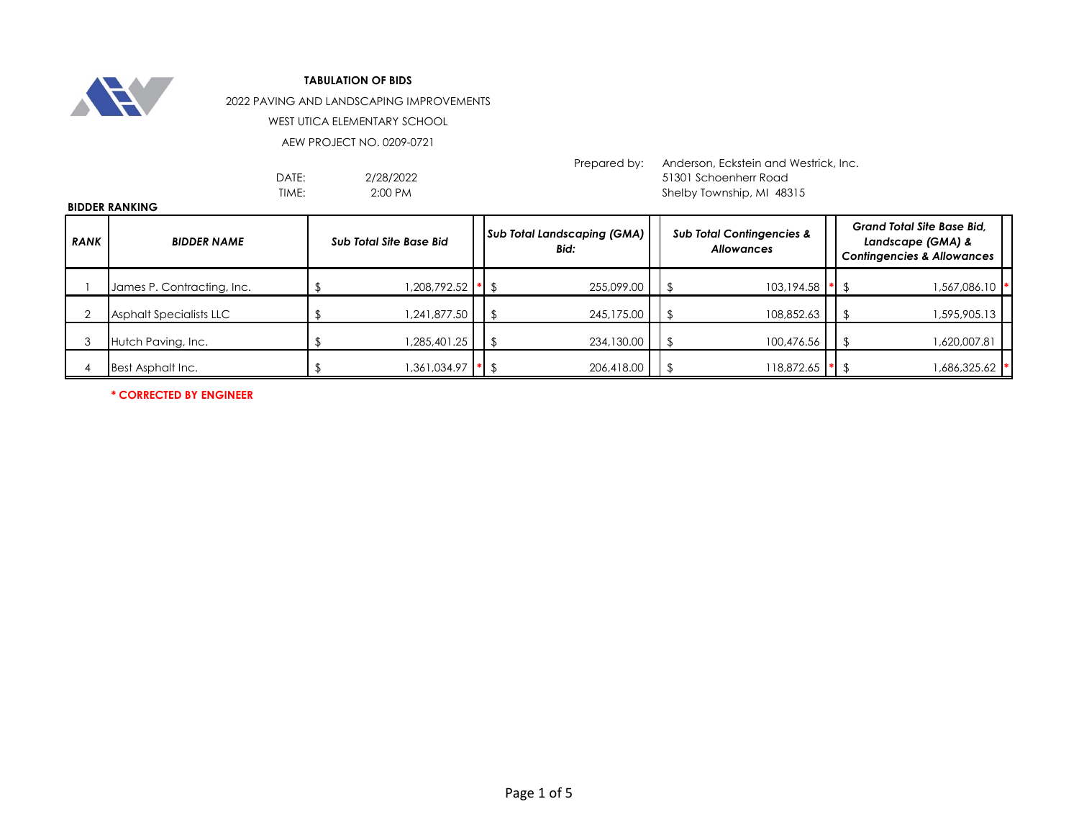

2022 PAVING AND LANDSCAPING IMPROVEMENTS

WEST UTICA ELEMENTARY SCHOOL

AEW PROJECT NO. 0209-0721

2/28/2022 2:00 PM

Prepared by: Anderson, Eckstein and Westrick, Inc. DATE: 2/28/2022 2003 - 51301 Schoenherr Road TIME: 2:00 PM 2:00 PM 2:00 PM 2:00 PM 3.15 Shelby Township, MI 48315

#### **BIDDER RANKING**

| <b>RANK</b> | <b>BIDDER NAME</b>         | Sub Total Site Base Bid |                   |  | <b>Sub Total Landscaping (GMA)</b><br>Bid: |  | <b>Sub Total Contingencies &amp;</b><br><b>Allowances</b> | <b>Grand Total Site Base Bid.</b><br>Landscape (GMA) &<br><b>Contingencies &amp; Allowances</b> |  |  |
|-------------|----------------------------|-------------------------|-------------------|--|--------------------------------------------|--|-----------------------------------------------------------|-------------------------------------------------------------------------------------------------|--|--|
|             | James P. Contracting, Inc. |                         | 1,208,792.52 * \$ |  | 255,099.00                                 |  | 103,194.58                                                | 1,567,086.10  *                                                                                 |  |  |
|             | Asphalt Specialists LLC    |                         | 1,241,877.50      |  | 245,175.00                                 |  | 108,852.63                                                | 1,595,905.13                                                                                    |  |  |
|             | Hutch Paving, Inc.         |                         | 1,285,401.25      |  | 234,130.00<br>$\blacksquare$               |  | 100,476.56                                                | 1,620,007.81                                                                                    |  |  |
|             | Best Asphalt Inc.          |                         | 1,361,034.97      |  | 206,418.00<br>$\mathbb{R}$ $\mathbb{S}$    |  | 118,872.65                                                | 1,686,325.62  *                                                                                 |  |  |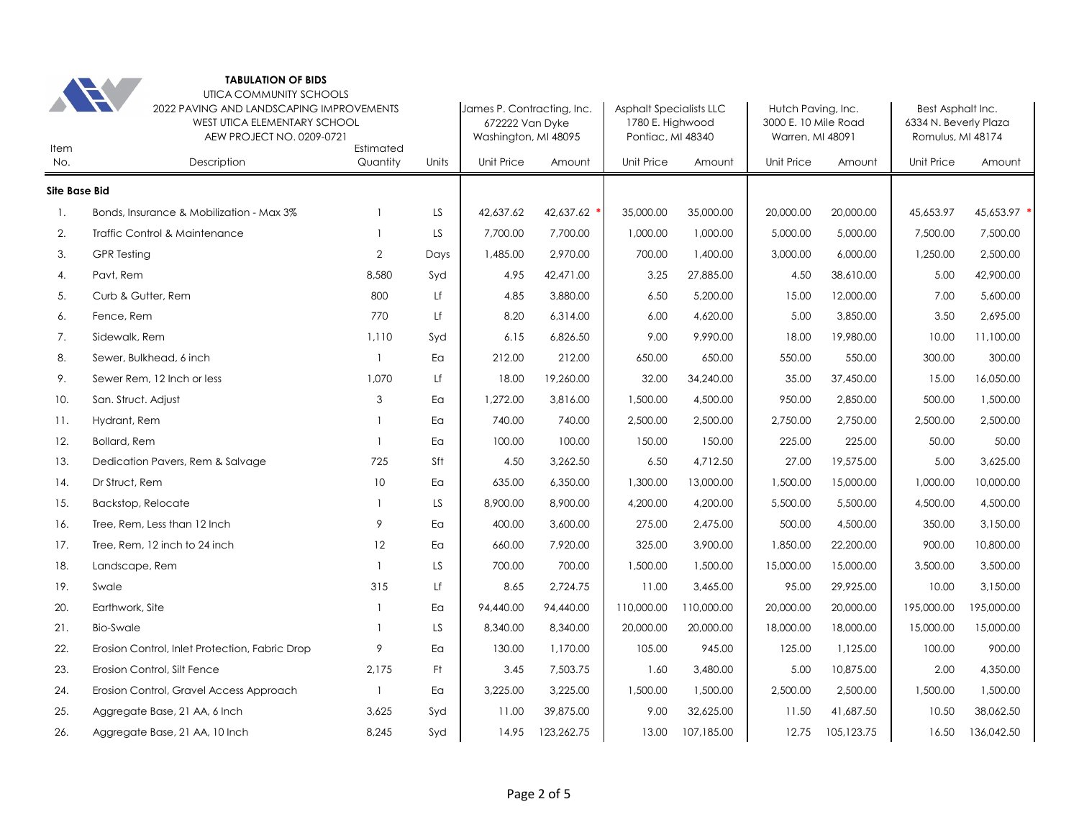| Item                 |                                                | UTICA COMMUNITY SCHOOLS<br>2022 PAVING AND LANDSCAPING IMPROVEMENTS<br><b>WEST UTICA ELEMENTARY SCHOOL</b><br>AEW PROJECT NO. 0209-0721<br>Estimated |       |            |            | <b>Asphalt Specialists LLC</b><br>1780 E. Highwood<br>Pontiac, MI 48340 |            | Hutch Paving, Inc.<br>3000 E. 10 Mile Road<br>Warren, MI 48091 |            | Best Asphalt Inc.<br>6334 N. Beverly Plaza<br>Romulus, MI 48174 |             |
|----------------------|------------------------------------------------|------------------------------------------------------------------------------------------------------------------------------------------------------|-------|------------|------------|-------------------------------------------------------------------------|------------|----------------------------------------------------------------|------------|-----------------------------------------------------------------|-------------|
| No.                  | Description                                    | Quantity                                                                                                                                             | Units | Unit Price | Amount     | Unit Price                                                              | Amount     | Unit Price                                                     | Amount     | Unit Price                                                      | Amount      |
| <b>Site Base Bid</b> |                                                |                                                                                                                                                      |       |            |            |                                                                         |            |                                                                |            |                                                                 |             |
| -1.                  | Bonds, Insurance & Mobilization - Max 3%       | $\mathbf{1}$                                                                                                                                         | LS    | 42,637.62  | 42,637.62  | 35,000.00                                                               | 35,000.00  | 20,000.00                                                      | 20,000.00  | 45,653.97                                                       | 45,653.97 * |
| 2.                   | Traffic Control & Maintenance                  | $\mathbf{1}$                                                                                                                                         | LS    | 7,700.00   | 7.700.00   | 1,000.00                                                                | 1,000.00   | 5,000.00                                                       | 5,000.00   | 7,500.00                                                        | 7,500.00    |
| 3.                   | <b>GPR</b> Testing                             | $\overline{2}$                                                                                                                                       | Days  | 1,485.00   | 2,970.00   | 700.00                                                                  | 1,400.00   | 3,000.00                                                       | 6,000.00   | 1,250.00                                                        | 2,500.00    |
| 4.                   | Pavt, Rem                                      | 8,580                                                                                                                                                | Syd   | 4.95       | 42,471.00  | 3.25                                                                    | 27,885.00  | 4.50                                                           | 38,610.00  | 5.00                                                            | 42,900.00   |
| 5.                   | Curb & Gutter, Rem                             | 800                                                                                                                                                  | Lf    | 4.85       | 3,880.00   | 6.50                                                                    | 5,200.00   | 15.00                                                          | 12,000.00  | 7.00                                                            | 5,600.00    |
| 6.                   | Fence, Rem                                     | 770                                                                                                                                                  | Lf    | 8.20       | 6,314.00   | 6.00                                                                    | 4,620.00   | 5.00                                                           | 3,850.00   | 3.50                                                            | 2,695.00    |
| 7.                   | Sidewalk, Rem                                  | 1,110                                                                                                                                                | Syd   | 6.15       | 6,826.50   | 9.00                                                                    | 9,990.00   | 18.00                                                          | 19,980.00  | 10.00                                                           | 11,100.00   |
| 8.                   | Sewer, Bulkhead, 6 inch                        | $\mathbf{1}$                                                                                                                                         | Eα    | 212.00     | 212.00     | 650.00                                                                  | 650.00     | 550.00                                                         | 550.00     | 300.00                                                          | 300.00      |
| 9.                   | Sewer Rem, 12 Inch or less                     | 1,070                                                                                                                                                | Lf    | 18.00      | 19,260.00  | 32.00                                                                   | 34,240.00  | 35.00                                                          | 37,450.00  | 15.00                                                           | 16,050.00   |
| 10.                  | San. Struct. Adjust                            | 3                                                                                                                                                    | Eα    | 1,272.00   | 3,816.00   | 1,500.00                                                                | 4,500.00   | 950.00                                                         | 2,850.00   | 500.00                                                          | 1,500.00    |
| 11.                  | Hydrant, Rem                                   | $\mathbf{1}$                                                                                                                                         | Ea    | 740.00     | 740.00     | 2,500.00                                                                | 2,500.00   | 2,750.00                                                       | 2,750.00   | 2,500.00                                                        | 2,500.00    |
| 12.                  | <b>Bollard, Rem</b>                            | $\mathbf{1}$                                                                                                                                         | Ea    | 100.00     | 100.00     | 150.00                                                                  | 150.00     | 225.00                                                         | 225.00     | 50.00                                                           | 50.00       |
| 13.                  | Dedication Pavers, Rem & Salvage               | 725                                                                                                                                                  | Sft   | 4.50       | 3,262.50   | 6.50                                                                    | 4,712.50   | 27.00                                                          | 19,575.00  | 5.00                                                            | 3,625.00    |
| 14.                  | Dr Struct, Rem                                 | 10                                                                                                                                                   | Ea    | 635.00     | 6,350.00   | 1,300.00                                                                | 13,000.00  | 1,500.00                                                       | 15,000.00  | 1,000.00                                                        | 10,000.00   |
| 15.                  | Backstop, Relocate                             | $\mathbf{1}$                                                                                                                                         | LS.   | 8,900.00   | 8,900.00   | 4,200.00                                                                | 4,200.00   | 5,500.00                                                       | 5,500.00   | 4,500.00                                                        | 4,500.00    |
| 16.                  | Tree, Rem, Less than 12 Inch                   | 9                                                                                                                                                    | Ea    | 400.00     | 3,600.00   | 275.00                                                                  | 2,475.00   | 500.00                                                         | 4,500.00   | 350.00                                                          | 3,150.00    |
| 17.                  | Tree, Rem, 12 inch to 24 inch                  | 12                                                                                                                                                   | Ea    | 660.00     | 7,920.00   | 325.00                                                                  | 3,900.00   | 1,850.00                                                       | 22,200.00  | 900.00                                                          | 10,800.00   |
| 18.                  | Landscape, Rem                                 | $\mathbf{1}$                                                                                                                                         | LS.   | 700.00     | 700.00     | 1,500.00                                                                | 1,500.00   | 15,000.00                                                      | 15,000.00  | 3,500.00                                                        | 3,500.00    |
| 19.                  | Swale                                          | 315                                                                                                                                                  | Lf    | 8.65       | 2,724.75   | 11.00                                                                   | 3,465.00   | 95.00                                                          | 29,925.00  | 10.00                                                           | 3,150.00    |
| 20.                  | Earthwork, Site                                | $\mathbf{1}$                                                                                                                                         | Ea    | 94,440.00  | 94,440.00  | 110,000.00                                                              | 110,000.00 | 20,000.00                                                      | 20,000.00  | 195,000.00                                                      | 195,000.00  |
| 21.                  | <b>Bio-Swale</b>                               | $\mathbf{1}$                                                                                                                                         | LS    | 8,340.00   | 8,340.00   | 20,000.00                                                               | 20,000.00  | 18,000.00                                                      | 18,000.00  | 15,000.00                                                       | 15,000.00   |
| 22.                  | Erosion Control, Inlet Protection, Fabric Drop | 9                                                                                                                                                    | Ea    | 130.00     | 1,170.00   | 105.00                                                                  | 945.00     | 125.00                                                         | 1,125.00   | 100.00                                                          | 900.00      |
| 23.                  | Erosion Control, Silt Fence                    | 2,175                                                                                                                                                | Ft    | 3.45       | 7,503.75   | 1.60                                                                    | 3,480.00   | 5.00                                                           | 10,875.00  | 2.00                                                            | 4,350.00    |
| 24.                  | Erosion Control, Gravel Access Approach        | $\mathbf{1}$                                                                                                                                         | Ea    | 3,225.00   | 3,225.00   | 1,500.00                                                                | 1,500.00   | 2,500.00                                                       | 2,500.00   | 1,500.00                                                        | 1,500.00    |
| 25.                  | Aggregate Base, 21 AA, 6 Inch                  | 3,625                                                                                                                                                | Syd   | 11.00      | 39,875.00  | 9.00                                                                    | 32,625.00  | 11.50                                                          | 41,687.50  | 10.50                                                           | 38,062.50   |
| 26.                  | Aggregate Base, 21 AA, 10 Inch                 | 8,245                                                                                                                                                | Svd   | 14.95      | 123,262.75 | 13.00                                                                   | 107,185.00 | 12.75                                                          | 105,123.75 | 16.50                                                           | 136,042.50  |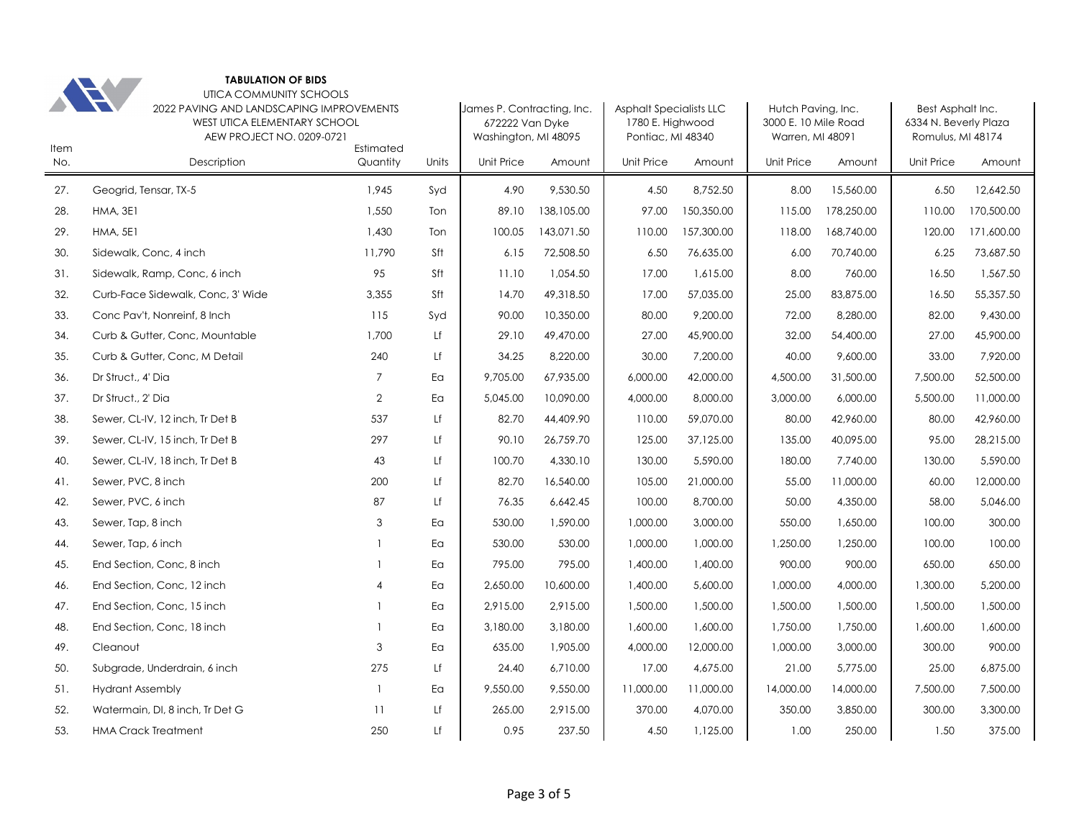| 202 |
|-----|

UTICA COMMUNITY SCHOOLS

| Item | <b>The Company of the Company</b><br>2022 PAVING AND LANDSCAPING IMPROVEMENTS<br><b>WEST UTICA ELEMENTARY SCHOOL</b><br>AEW PROJECT NO. 0209-0721<br>Estimated |                |       |                   | James P. Contracting, Inc.<br>672222 Van Dyke<br>Washington, MI 48095 | <b>Asphalt Specialists LLC</b><br>1780 E. Highwood<br>Pontiac, MI 48340 |            | Hutch Paving, Inc.<br>3000 E. 10 Mile Road<br>Warren, MI 48091 |            | Best Asphalt Inc.<br>6334 N. Beverly Plaza<br>Romulus, MI 48174 |            |
|------|----------------------------------------------------------------------------------------------------------------------------------------------------------------|----------------|-------|-------------------|-----------------------------------------------------------------------|-------------------------------------------------------------------------|------------|----------------------------------------------------------------|------------|-----------------------------------------------------------------|------------|
| No.  | Description                                                                                                                                                    | Quantity       | Units | <b>Unit Price</b> | Amount                                                                | <b>Unit Price</b>                                                       | Amount     | Unit Price                                                     | Amount     | <b>Unit Price</b>                                               | Amount     |
| 27.  | Geogrid, Tensar, TX-5                                                                                                                                          | 1.945          | Syd   | 4.90              | 9,530.50                                                              | 4.50                                                                    | 8,752.50   | 8.00                                                           | 15,560.00  | 6.50                                                            | 12.642.50  |
| 28.  | <b>HMA, 3E1</b>                                                                                                                                                | 1,550          | Ton   | 89.10             | 138,105.00                                                            | 97.00                                                                   | 150,350.00 | 115.00                                                         | 178,250.00 | 110.00                                                          | 170,500.00 |
| 29.  | <b>HMA, 5E1</b>                                                                                                                                                | 1,430          | Ton   | 100.05            | 143,071.50                                                            | 110.00                                                                  | 157,300.00 | 118.00                                                         | 168,740.00 | 120.00                                                          | 171,600.00 |
| 30.  | Sidewalk, Conc, 4 inch                                                                                                                                         | 11,790         | Sft   | 6.15              | 72,508.50                                                             | 6.50                                                                    | 76,635.00  | 6.00                                                           | 70,740.00  | 6.25                                                            | 73,687.50  |
| 31.  | Sidewalk, Ramp, Conc, 6 inch                                                                                                                                   | 95             | Sft   | 11.10             | 1,054.50                                                              | 17.00                                                                   | 1,615.00   | 8.00                                                           | 760.00     | 16.50                                                           | 1,567.50   |
| 32.  | Curb-Face Sidewalk, Conc, 3' Wide                                                                                                                              | 3,355          | Sft   | 14.70             | 49,318.50                                                             | 17.00                                                                   | 57,035.00  | 25.00                                                          | 83,875.00  | 16.50                                                           | 55,357.50  |
| 33.  | Conc Pav't, Nonreinf, 8 Inch                                                                                                                                   | 115            | Syd   | 90.00             | 10,350.00                                                             | 80.00                                                                   | 9,200.00   | 72.00                                                          | 8,280.00   | 82.00                                                           | 9,430.00   |
| 34.  | Curb & Gutter, Conc, Mountable                                                                                                                                 | 1,700          | Lf    | 29.10             | 49,470.00                                                             | 27.00                                                                   | 45,900.00  | 32.00                                                          | 54,400.00  | 27.00                                                           | 45,900.00  |
| 35.  | Curb & Gutter, Conc, M Detail                                                                                                                                  | 240            | Lf    | 34.25             | 8,220.00                                                              | 30.00                                                                   | 7,200.00   | 40.00                                                          | 9,600.00   | 33.00                                                           | 7,920.00   |
| 36.  | Dr Struct., 4' Dia                                                                                                                                             | $\overline{7}$ | Ea    | 9,705.00          | 67,935.00                                                             | 6,000.00                                                                | 42,000.00  | 4,500.00                                                       | 31,500.00  | 7,500.00                                                        | 52,500.00  |
| 37.  | Dr Struct., 2' Dia                                                                                                                                             | $\overline{2}$ | Eα    | 5,045.00          | 10,090.00                                                             | 4,000.00                                                                | 8,000.00   | 3,000.00                                                       | 6,000.00   | 5,500.00                                                        | 11,000.00  |
| 38.  | Sewer, CL-IV, 12 inch, Tr Det B                                                                                                                                | 537            | Lf    | 82.70             | 44,409.90                                                             | 110.00                                                                  | 59,070.00  | 80.00                                                          | 42,960.00  | 80.00                                                           | 42,960.00  |
| 39.  | Sewer, CL-IV, 15 inch, Tr Det B                                                                                                                                | 297            | Lf    | 90.10             | 26,759.70                                                             | 125.00                                                                  | 37,125.00  | 135.00                                                         | 40,095.00  | 95.00                                                           | 28,215.00  |
| 40.  | Sewer, CL-IV, 18 inch, Tr Det B                                                                                                                                | 43             | Lf    | 100.70            | 4,330.10                                                              | 130.00                                                                  | 5,590.00   | 180.00                                                         | 7,740.00   | 130.00                                                          | 5,590.00   |
| 41.  | Sewer, PVC, 8 inch                                                                                                                                             | 200            | Lf    | 82.70             | 16,540.00                                                             | 105.00                                                                  | 21,000.00  | 55.00                                                          | 11,000.00  | 60.00                                                           | 12,000.00  |
| 42.  | Sewer, PVC, 6 inch                                                                                                                                             | 87             | Lf    | 76.35             | 6,642.45                                                              | 100.00                                                                  | 8,700.00   | 50.00                                                          | 4,350.00   | 58.00                                                           | 5,046.00   |
| 43.  | Sewer, Tap, 8 inch                                                                                                                                             | 3              | Ea    | 530.00            | 1,590.00                                                              | 1,000.00                                                                | 3,000.00   | 550.00                                                         | 1,650.00   | 100.00                                                          | 300.00     |
| 44.  | Sewer, Tap, 6 inch                                                                                                                                             |                | Ea    | 530.00            | 530.00                                                                | 1,000.00                                                                | 1,000.00   | 1,250.00                                                       | 1,250.00   | 100.00                                                          | 100.00     |
| 45.  | End Section, Conc, 8 inch                                                                                                                                      |                | Ea    | 795.00            | 795.00                                                                | 1,400.00                                                                | 1,400.00   | 900.00                                                         | 900.00     | 650.00                                                          | 650.00     |
| 46.  | End Section, Conc, 12 inch                                                                                                                                     | $\overline{A}$ | Ea    | 2,650.00          | 10,600.00                                                             | 1,400.00                                                                | 5,600.00   | 1,000.00                                                       | 4,000.00   | 1,300.00                                                        | 5,200.00   |
| 47.  | End Section, Conc, 15 inch                                                                                                                                     |                | Ea    | 2,915.00          | 2,915.00                                                              | 1,500.00                                                                | 1,500.00   | 1,500.00                                                       | 1,500.00   | 1,500.00                                                        | 1,500.00   |
| 48.  | End Section, Conc, 18 inch                                                                                                                                     |                | Ea    | 3,180.00          | 3,180.00                                                              | 1,600.00                                                                | 1,600.00   | 1,750.00                                                       | 1,750.00   | 1,600.00                                                        | 1,600.00   |
| 49.  | Cleanout                                                                                                                                                       | 3              | Ea    | 635.00            | 1,905.00                                                              | 4,000.00                                                                | 12,000.00  | 1,000.00                                                       | 3,000.00   | 300.00                                                          | 900.00     |
| 50.  | Subgrade, Underdrain, 6 inch                                                                                                                                   | 275            | Lf    | 24.40             | 6,710.00                                                              | 17.00                                                                   | 4,675.00   | 21.00                                                          | 5,775.00   | 25.00                                                           | 6,875.00   |
| 51.  | <b>Hydrant Assembly</b>                                                                                                                                        | $\overline{1}$ | Ea    | 9,550.00          | 9,550.00                                                              | 11,000.00                                                               | 11,000.00  | 14,000.00                                                      | 14,000.00  | 7,500.00                                                        | 7,500.00   |
| 52.  | Watermain, DI, 8 inch, Tr Det G                                                                                                                                | 11             | Lf    | 265.00            | 2,915.00                                                              | 370.00                                                                  | 4,070.00   | 350.00                                                         | 3,850.00   | 300.00                                                          | 3,300.00   |
| 53.  | <b>HMA Crack Treatment</b>                                                                                                                                     | 250            | Lf    | 0.95              | 237.50                                                                | 4.50                                                                    | 1,125.00   | 1.00                                                           | 250.00     | 1.50                                                            | 375.00     |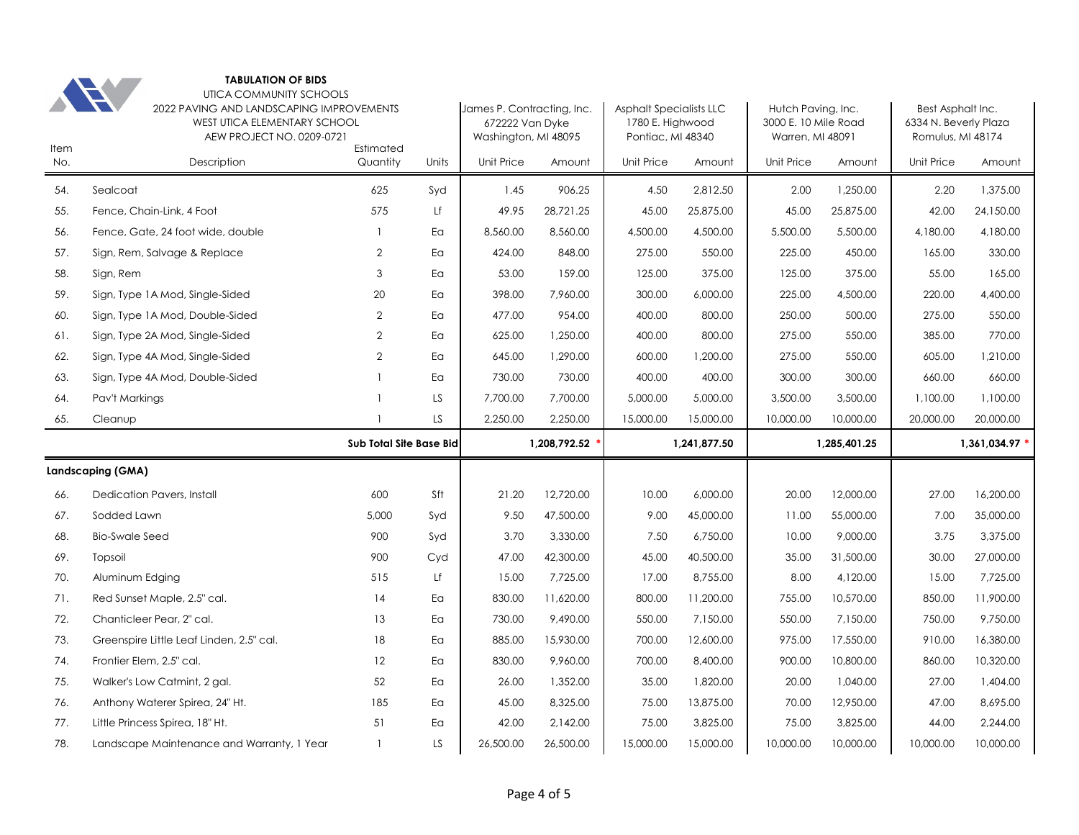| Item | UTICA COMMUNITY SCHOOLS<br>2022 PAVING AND LANDSCAPING IMPROVEMENTS<br>WEST UTICA ELEMENTARY SCHOOL<br>AEW PROJECT NO. 0209-0721 |                         | James P. Contracting, Inc.<br>672222 Van Dyke<br>Washington, MI 48095 |            | <b>Asphalt Specialists LLC</b><br>1780 E. Highwood<br>Pontiac, MI 48340 |            | Hutch Paving, Inc.<br>3000 E. 10 Mile Road<br>Warren, MI 48091 |            | Best Asphalt Inc.<br>6334 N. Beverly Plaza<br>Romulus, MI 48174 |            |                |
|------|----------------------------------------------------------------------------------------------------------------------------------|-------------------------|-----------------------------------------------------------------------|------------|-------------------------------------------------------------------------|------------|----------------------------------------------------------------|------------|-----------------------------------------------------------------|------------|----------------|
| No.  | Description                                                                                                                      | Estimated<br>Quantity   | Units                                                                 | Unit Price | Amount                                                                  | Unit Price | Amount                                                         | Unit Price | Amount                                                          | Unit Price | Amount         |
| 54.  | Sealcoat                                                                                                                         | 625                     | Syd                                                                   | 1.45       | 906.25                                                                  | 4.50       | 2,812.50                                                       | 2.00       | 1,250.00                                                        | 2.20       | 1.375.00       |
| 55.  | Fence, Chain-Link, 4 Foot                                                                                                        | 575                     | Lf                                                                    | 49.95      | 28,721.25                                                               | 45.00      | 25,875.00                                                      | 45.00      | 25,875.00                                                       | 42.00      | 24,150.00      |
| 56.  | Fence, Gate, 24 foot wide, double                                                                                                | $\mathbf{1}$            | Ea                                                                    | 8,560.00   | 8,560.00                                                                | 4,500.00   | 4,500.00                                                       | 5,500.00   | 5,500.00                                                        | 4,180.00   | 4,180.00       |
| 57.  | Sign, Rem, Salvage & Replace                                                                                                     | $\overline{2}$          | Ea                                                                    | 424.00     | 848.00                                                                  | 275.00     | 550.00                                                         | 225.00     | 450.00                                                          | 165.00     | 330.00         |
| 58.  | Sign, Rem                                                                                                                        | 3                       | Ea                                                                    | 53.00      | 159.00                                                                  | 125.00     | 375.00                                                         | 125.00     | 375.00                                                          | 55.00      | 165.00         |
| 59.  | Sign, Type 1A Mod, Single-Sided                                                                                                  | 20                      | Ea                                                                    | 398.00     | 7,960.00                                                                | 300.00     | 6,000.00                                                       | 225.00     | 4,500.00                                                        | 220.00     | 4,400.00       |
| 60.  | Sign, Type 1A Mod, Double-Sided                                                                                                  | $\overline{2}$          | Ea                                                                    | 477.00     | 954.00                                                                  | 400.00     | 800.00                                                         | 250.00     | 500.00                                                          | 275.00     | 550.00         |
| 61.  | Sign, Type 2A Mod, Single-Sided                                                                                                  | $\overline{2}$          | Ea                                                                    | 625.00     | 1,250.00                                                                | 400.00     | 800.00                                                         | 275.00     | 550.00                                                          | 385.00     | 770.00         |
| 62.  | Sign, Type 4A Mod, Single-Sided                                                                                                  | $\overline{2}$          | Ea                                                                    | 645.00     | 1,290.00                                                                | 600.00     | 1,200.00                                                       | 275.00     | 550.00                                                          | 605.00     | 1,210.00       |
| 63.  | Sign, Type 4A Mod, Double-Sided                                                                                                  | $\mathbf{1}$            | Ea                                                                    | 730.00     | 730.00                                                                  | 400.00     | 400.00                                                         | 300.00     | 300.00                                                          | 660.00     | 660.00         |
| 64.  | Pav't Markings                                                                                                                   | $\mathbf{1}$            | LS                                                                    | 7,700.00   | 7,700.00                                                                | 5,000.00   | 5,000.00                                                       | 3,500.00   | 3,500.00                                                        | 1,100.00   | 1,100.00       |
| 65.  | Cleanup                                                                                                                          | $\mathbf{1}$            | LS                                                                    | 2,250.00   | 2,250.00                                                                | 15,000.00  | 15,000.00                                                      | 10,000.00  | 10,000.00                                                       | 20,000.00  | 20,000.00      |
|      |                                                                                                                                  |                         |                                                                       |            |                                                                         |            |                                                                |            |                                                                 |            |                |
|      |                                                                                                                                  | Sub Total Site Base Bid |                                                                       |            | 1,208,792.52                                                            |            | 1,241,877.50                                                   |            | 1,285,401.25                                                    |            | 1,361,034.97 * |
|      | Landscaping (GMA)                                                                                                                |                         |                                                                       |            |                                                                         |            |                                                                |            |                                                                 |            |                |
| 66.  | Dedication Pavers, Install                                                                                                       | 600                     | Sft                                                                   | 21.20      | 12,720.00                                                               | 10.00      | 6,000.00                                                       | 20.00      | 12,000.00                                                       | 27.00      | 16,200.00      |
| 67.  | Sodded Lawn                                                                                                                      | 5,000                   | Syd                                                                   | 9.50       | 47,500.00                                                               | 9.00       | 45,000.00                                                      | 11.00      | 55,000.00                                                       | 7.00       | 35,000.00      |
| 68.  | <b>Bio-Swale Seed</b>                                                                                                            | 900                     | Syd                                                                   | 3.70       | 3,330.00                                                                | 7.50       | 6,750.00                                                       | 10.00      | 9,000.00                                                        | 3.75       | 3,375.00       |
| 69.  | Topsoil                                                                                                                          | 900                     | Cyd                                                                   | 47.00      | 42,300.00                                                               | 45.00      | 40,500.00                                                      | 35.00      | 31,500.00                                                       | 30.00      | 27,000.00      |
| 70.  | Aluminum Edging                                                                                                                  | 515                     | Lf                                                                    | 15.00      | 7,725.00                                                                | 17.00      | 8,755.00                                                       | 8.00       | 4,120.00                                                        | 15.00      | 7,725.00       |
| 71.  | Red Sunset Maple, 2.5" cal.                                                                                                      | 14                      | Ea                                                                    | 830.00     | 11,620.00                                                               | 800.00     | 11,200.00                                                      | 755.00     | 10,570.00                                                       | 850.00     | 11,900.00      |
| 72.  | Chanticleer Pear, 2" cal.                                                                                                        | 13                      | Ea                                                                    | 730.00     | 9,490.00                                                                | 550.00     | 7,150.00                                                       | 550.00     | 7,150.00                                                        | 750.00     | 9,750.00       |
| 73.  | Greenspire Little Leaf Linden, 2.5" cal.                                                                                         | 18                      | Ea                                                                    | 885.00     | 15,930.00                                                               | 700.00     | 12,600.00                                                      | 975.00     | 17,550.00                                                       | 910.00     | 16,380.00      |
| 74.  | Frontier Elem, 2.5" cal.                                                                                                         | 12                      | Ea                                                                    | 830.00     | 9,960.00                                                                | 700.00     | 8,400.00                                                       | 900.00     | 10,800.00                                                       | 860.00     | 10,320.00      |
| 75.  | Walker's Low Catmint, 2 gal.                                                                                                     | 52                      | Ea                                                                    | 26.00      | 1,352.00                                                                | 35.00      | 1,820.00                                                       | 20.00      | 1,040.00                                                        | 27.00      | 1,404.00       |
| 76.  | Anthony Waterer Spirea, 24" Ht.                                                                                                  | 185                     | Ea                                                                    | 45.00      | 8,325.00                                                                | 75.00      | 13,875.00                                                      | 70.00      | 12,950.00                                                       | 47.00      | 8,695.00       |
| 77.  | Little Princess Spirea, 18" Ht.                                                                                                  | 51                      | Ea                                                                    | 42.00      | 2,142.00                                                                | 75.00      | 3,825.00                                                       | 75.00      | 3,825.00                                                        | 44.00      | 2,244.00       |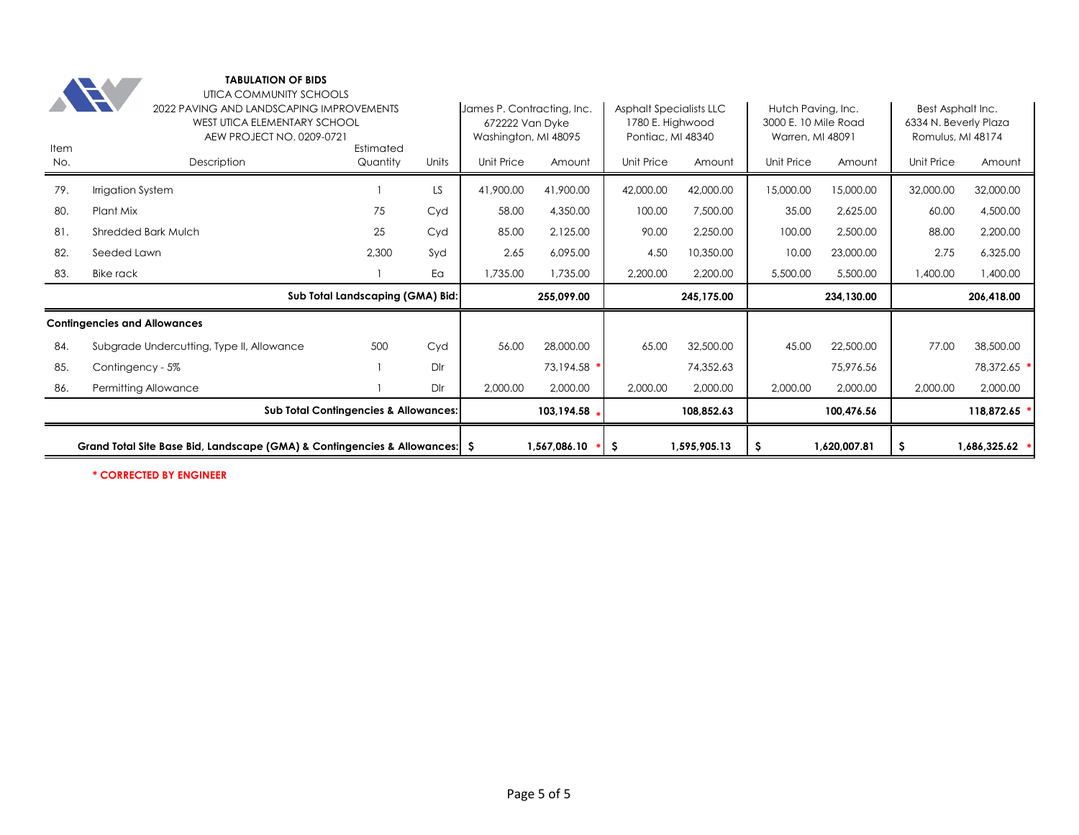|      | Grand Total Site Base Bid, Landscape (GMA) & Contingencies & Allowances:   \$ |                                                                                                                                                      |           |            | 1,567,086.10<br>*                                                     | -\$                                                                     | 1,595,905.13 | S                                                              | 1,620,007.81 | \$.                                                             | 1,686,325.62 |  |
|------|-------------------------------------------------------------------------------|------------------------------------------------------------------------------------------------------------------------------------------------------|-----------|------------|-----------------------------------------------------------------------|-------------------------------------------------------------------------|--------------|----------------------------------------------------------------|--------------|-----------------------------------------------------------------|--------------|--|
|      |                                                                               | <b>Sub Total Contingencies &amp; Allowances:</b>                                                                                                     |           |            | 103,194.58                                                            |                                                                         | 108,852.63   |                                                                | 100,476.56   |                                                                 | 118,872.65   |  |
| 86.  | Permitting Allowance                                                          |                                                                                                                                                      | Dlr       | 2,000.00   | 2,000.00                                                              | 2,000.00                                                                | 2,000.00     | 2,000.00                                                       | 2,000.00     | 2,000.00                                                        | 2,000.00     |  |
| 85.  | Contingency - 5%                                                              |                                                                                                                                                      | DIr       |            | 73,194.58 *                                                           |                                                                         | 74,352.63    |                                                                | 75,976.56    |                                                                 | 78,372.65    |  |
| 84.  | Subgrade Undercutting, Type II, Allowance                                     | 500                                                                                                                                                  | Cyd       | 56.00      | 28,000.00                                                             | 65.00                                                                   | 32,500.00    | 45.00                                                          | 22,500.00    | 77.00                                                           | 38,500.00    |  |
|      | <b>Contingencies and Allowances</b>                                           |                                                                                                                                                      |           |            |                                                                       |                                                                         |              |                                                                |              |                                                                 |              |  |
|      |                                                                               | Sub Total Landscaping (GMA) Bid:                                                                                                                     |           |            | 255,099.00                                                            |                                                                         | 245.175.00   |                                                                | 234,130.00   |                                                                 | 206,418.00   |  |
| 83.  | Bike rack                                                                     |                                                                                                                                                      | Ea        | 1,735.00   | 1,735.00                                                              | 2,200.00                                                                | 2,200.00     | 5,500.00                                                       | 5,500.00     | 1,400.00                                                        | 1,400.00     |  |
| 82.  | Seeded Lawn                                                                   | 2,300                                                                                                                                                | Syd       | 2.65       | 6,095.00                                                              | 4.50                                                                    | 10,350.00    | 10.00                                                          | 23,000.00    | 2.75                                                            | 6,325.00     |  |
| 81.  | <b>Shredded Bark Mulch</b>                                                    | 25                                                                                                                                                   | Cyd       | 85.00      | 2,125.00                                                              | 90.00                                                                   | 2,250.00     | 100.00                                                         | 2,500.00     | 88.00                                                           | 2,200.00     |  |
| 80.  | Plant Mix                                                                     | 75                                                                                                                                                   | Cyd       | 58.00      | 4,350.00                                                              | 100.00                                                                  | 7,500.00     | 35.00                                                          | 2,625.00     | 60.00                                                           | 4,500.00     |  |
| 79.  | Irrigation System                                                             |                                                                                                                                                      | <b>LS</b> | 41,900.00  | 41,900.00                                                             | 42,000.00                                                               | 42,000.00    | 15,000.00                                                      | 15,000.00    | 32,000.00                                                       | 32,000.00    |  |
| No.  | Description                                                                   | Quantity                                                                                                                                             | Units     | Unit Price | Amount                                                                | Unit Price                                                              | Amount       | Unit Price                                                     | Amount       | Unit Price                                                      | Amount       |  |
| Item |                                                                               | UTICA COMMUNITY SCHOOLS<br>2022 PAVING AND LANDSCAPING IMPROVEMENTS<br><b>WEST UTICA ELEMENTARY SCHOOL</b><br>AEW PROJECT NO. 0209-0721<br>Estimated |           |            | James P. Contracting, Inc.<br>672222 Van Dyke<br>Washington, MI 48095 | <b>Asphalt Specialists LLC</b><br>1780 E. Highwood<br>Pontiac, MI 48340 |              | Hutch Pavina, Inc.<br>3000 E. 10 Mile Road<br>Warren, MI 48091 |              | Best Asphalt Inc.<br>6334 N. Beverly Plaza<br>Romulus, MI 48174 |              |  |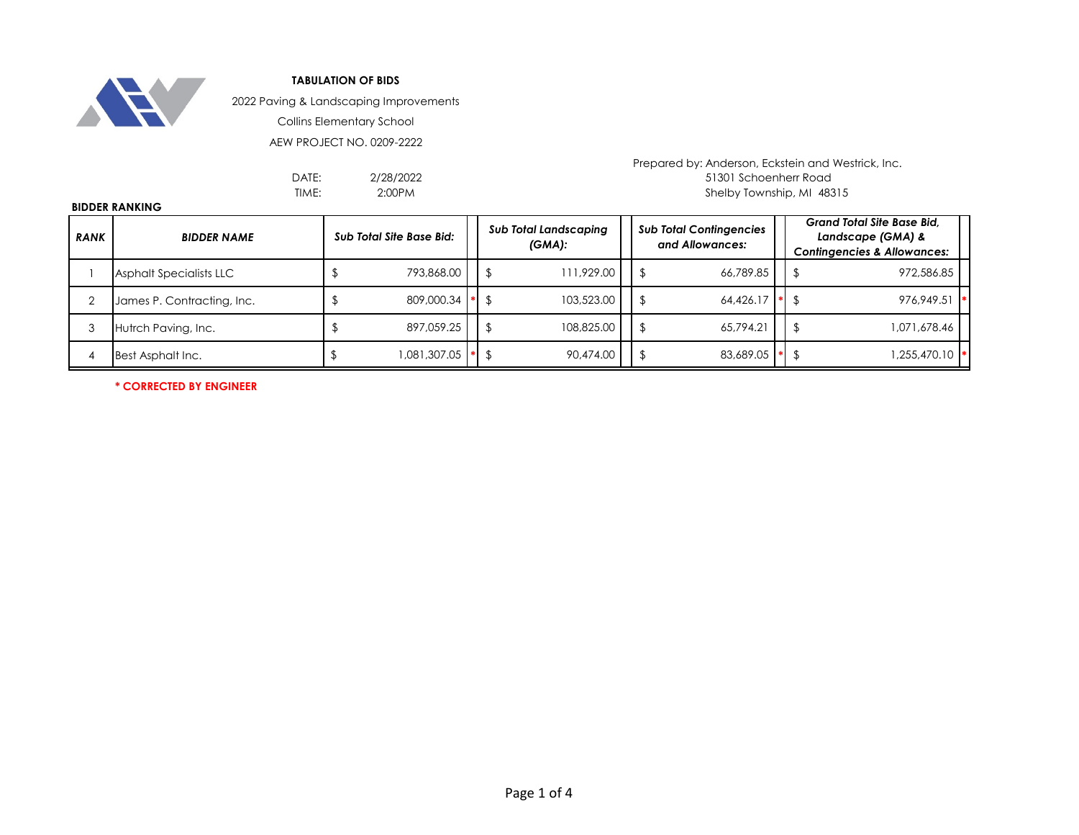

2022 Paving & Landscaping Improvements

Collins Elementary School

AEW PROJECT NO. 0209-2222

2/28/2022 2:00PM

Prepared by: Anderson, Eckstein and Westrick, Inc. DATE: 2/28/2022 2003 2004 12:301 Schoenherr Road TIME: Shelby Township, MI 48315

## **BIDDER RANKING**

| <b>RANK</b> | <b>BIDDER NAME</b>         | <b>Sub Total Site Base Bid:</b> |  | <b>Sub Total Landscaping</b><br>$(GMA)$ : |            |  | <b>Sub Total Contingencies</b><br>and Allowances: | <b>Grand Total Site Base Bid.</b><br>Landscape (GMA) &<br><b>Contingencies &amp; Allowances:</b> |  |
|-------------|----------------------------|---------------------------------|--|-------------------------------------------|------------|--|---------------------------------------------------|--------------------------------------------------------------------------------------------------|--|
|             | Asphalt Specialists LLC    | 793,868.00                      |  |                                           | 111,929.00 |  | 66.789.85                                         | 972,586.85                                                                                       |  |
|             | James P. Contracting, Inc. | 809,000.34 * \$                 |  |                                           | 103.523.00 |  | 64.426.17                                         | $976.949.51$ *                                                                                   |  |
|             | Hutrch Paving, Inc.        | 897.059.25                      |  |                                           | 108,825.00 |  | 65.794.21                                         | 1,071,678.46                                                                                     |  |
|             | Best Asphalt Inc.          | 081,307.05                      |  | $ * $ \$                                  | 90,474.00  |  | 83,689.05                                         | M <sub>1</sub> ,255,470.10                                                                       |  |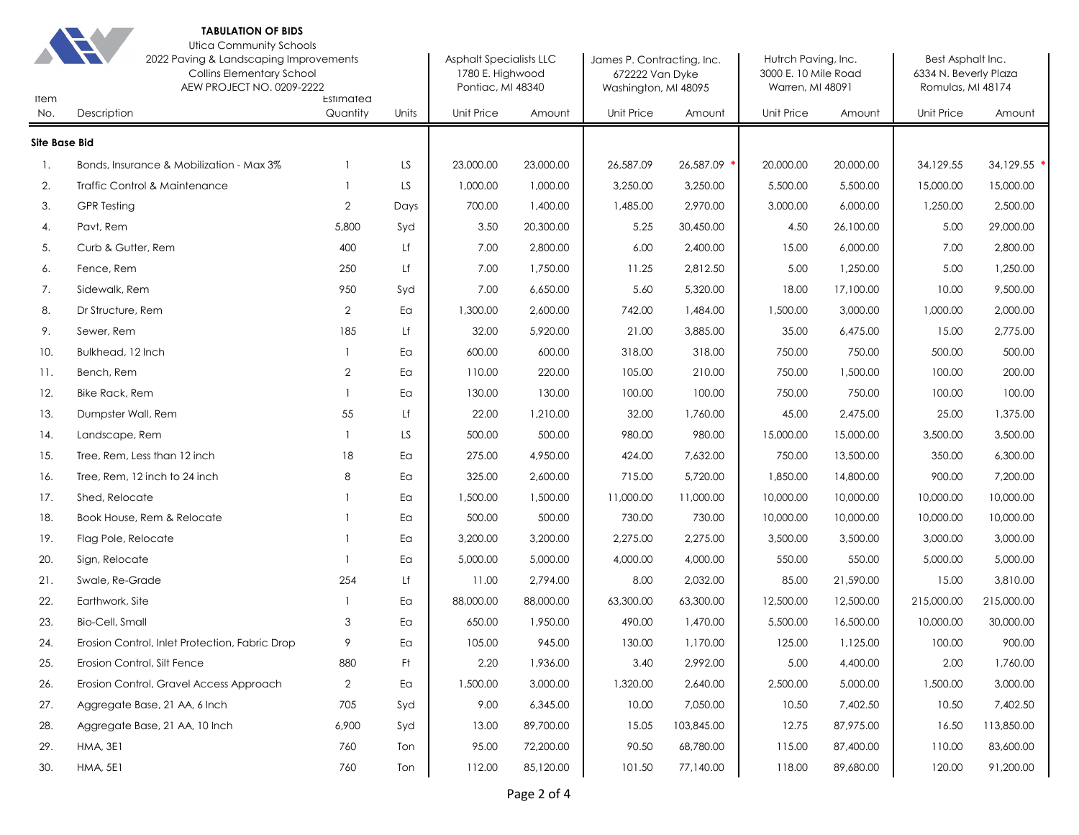

#### **TABULATION OF BIDS** Utica Community Schools

| Item                 | <b>TELESCOPE</b><br>2022 Paving & Landscaping Improvements<br><b>Collins Elementary School</b><br>AEW PROJECT NO. 0209-2222 |                       | Asphalt Specialists LLC<br>1780 E. Highwood<br>Pontiac, MI 48340 |            | James P. Contracting, Inc.<br>672222 Van Dyke<br>Washington, MI 48095 |            | Hutrch Paving, Inc.<br>3000 E. 10 Mile Road<br>Warren, MI 48091 |            | Best Asphalt Inc.<br>6334 N. Beverly Plaza<br>Romulas, MI 48174 |            |            |
|----------------------|-----------------------------------------------------------------------------------------------------------------------------|-----------------------|------------------------------------------------------------------|------------|-----------------------------------------------------------------------|------------|-----------------------------------------------------------------|------------|-----------------------------------------------------------------|------------|------------|
| No.                  | Description                                                                                                                 | Estimated<br>Quantity | Units                                                            | Unit Price | Amount                                                                | Unit Price | Amount                                                          | Unit Price | Amount                                                          | Unit Price | Amount     |
| <b>Site Base Bid</b> |                                                                                                                             |                       |                                                                  |            |                                                                       |            |                                                                 |            |                                                                 |            |            |
| -1.                  | Bonds, Insurance & Mobilization - Max 3%                                                                                    |                       | LS.                                                              | 23,000.00  | 23,000.00                                                             | 26,587.09  | 26,587.09                                                       | 20,000.00  | 20,000.00                                                       | 34,129.55  | 34,129.55  |
| 2.                   | Traffic Control & Maintenance                                                                                               |                       | LS                                                               | 1,000.00   | 1,000.00                                                              | 3,250.00   | 3,250.00                                                        | 5,500.00   | 5,500.00                                                        | 15,000.00  | 15,000.00  |
| 3.                   | <b>GPR Testing</b>                                                                                                          | $\overline{2}$        | Days                                                             | 700.00     | 1,400.00                                                              | 1,485.00   | 2,970.00                                                        | 3,000.00   | 6,000.00                                                        | 1,250.00   | 2,500.00   |
| 4.                   | Pavt, Rem                                                                                                                   | 5,800                 | Syd                                                              | 3.50       | 20,300.00                                                             | 5.25       | 30,450.00                                                       | 4.50       | 26,100.00                                                       | 5.00       | 29,000.00  |
| 5.                   | Curb & Gutter, Rem                                                                                                          | 400                   | Lf                                                               | 7.00       | 2,800.00                                                              | 6.00       | 2,400.00                                                        | 15.00      | 6,000.00                                                        | 7.00       | 2,800.00   |
| 6.                   | Fence, Rem                                                                                                                  | 250                   | Lf                                                               | 7.00       | 1,750.00                                                              | 11.25      | 2,812.50                                                        | 5.00       | 1,250.00                                                        | 5.00       | 1,250.00   |
| 7.                   | Sidewalk, Rem                                                                                                               | 950                   | Syd                                                              | 7.00       | 6,650.00                                                              | 5.60       | 5,320.00                                                        | 18.00      | 17,100.00                                                       | 10.00      | 9,500.00   |
| 8.                   | Dr Structure, Rem                                                                                                           | $\overline{2}$        | Ea                                                               | 1,300.00   | 2,600.00                                                              | 742.00     | 1,484.00                                                        | 1,500.00   | 3,000.00                                                        | 1,000.00   | 2,000.00   |
| 9.                   | Sewer, Rem                                                                                                                  | 185                   | Lf                                                               | 32.00      | 5,920.00                                                              | 21.00      | 3,885.00                                                        | 35.00      | 6,475.00                                                        | 15.00      | 2,775.00   |
| 10.                  | Bulkhead, 12 Inch                                                                                                           |                       | Ea                                                               | 600.00     | 600.00                                                                | 318.00     | 318.00                                                          | 750.00     | 750.00                                                          | 500.00     | 500.00     |
| 11.                  | Bench, Rem                                                                                                                  | $\overline{2}$        | Ea                                                               | 110.00     | 220.00                                                                | 105.00     | 210.00                                                          | 750.00     | 1,500.00                                                        | 100.00     | 200.00     |
| 12.                  | Bike Rack, Rem                                                                                                              |                       | Ea                                                               | 130.00     | 130.00                                                                | 100.00     | 100.00                                                          | 750.00     | 750.00                                                          | 100.00     | 100.00     |
| 13.                  | Dumpster Wall, Rem                                                                                                          | 55                    | Lf                                                               | 22.00      | 1,210.00                                                              | 32.00      | 1,760.00                                                        | 45.00      | 2,475.00                                                        | 25.00      | 1,375.00   |
| 14.                  | Landscape, Rem                                                                                                              |                       | LS                                                               | 500.00     | 500.00                                                                | 980.00     | 980.00                                                          | 15,000.00  | 15,000.00                                                       | 3,500.00   | 3,500.00   |
| 15.                  | Tree, Rem, Less than 12 inch                                                                                                | 18                    | Ea                                                               | 275.00     | 4,950.00                                                              | 424.00     | 7,632.00                                                        | 750.00     | 13,500.00                                                       | 350.00     | 6,300.00   |
| 16.                  | Tree, Rem, 12 inch to 24 inch                                                                                               | 8                     | Ea                                                               | 325.00     | 2,600.00                                                              | 715.00     | 5,720.00                                                        | 1,850.00   | 14,800.00                                                       | 900.00     | 7,200.00   |
| 17.                  | Shed, Relocate                                                                                                              |                       | Ea                                                               | 1,500.00   | 1,500.00                                                              | 11,000.00  | 11,000.00                                                       | 10,000.00  | 10,000.00                                                       | 10,000.00  | 10,000.00  |
| 18.                  | Book House, Rem & Relocate                                                                                                  |                       | Ea                                                               | 500.00     | 500.00                                                                | 730.00     | 730.00                                                          | 10,000.00  | 10,000.00                                                       | 10,000.00  | 10,000.00  |
| 19.                  | Flag Pole, Relocate                                                                                                         |                       | Ea                                                               | 3,200.00   | 3,200.00                                                              | 2,275.00   | 2,275.00                                                        | 3,500.00   | 3,500.00                                                        | 3,000.00   | 3,000.00   |
| 20.                  | Sign, Relocate                                                                                                              |                       | Ea                                                               | 5,000.00   | 5,000.00                                                              | 4,000.00   | 4,000.00                                                        | 550.00     | 550.00                                                          | 5,000.00   | 5,000.00   |
| 21.                  | Swale, Re-Grade                                                                                                             | 254                   | Lf                                                               | 11.00      | 2,794.00                                                              | 8.00       | 2,032.00                                                        | 85.00      | 21,590.00                                                       | 15.00      | 3,810.00   |
| 22.                  | Earthwork, Site                                                                                                             |                       | Ea                                                               | 88,000.00  | 88,000.00                                                             | 63,300.00  | 63,300.00                                                       | 12,500.00  | 12,500.00                                                       | 215,000.00 | 215,000.00 |
| 23.                  | Bio-Cell, Small                                                                                                             | 3                     | Ea                                                               | 650.00     | 1,950.00                                                              | 490.00     | 1,470.00                                                        | 5,500.00   | 16,500.00                                                       | 10,000.00  | 30,000.00  |
| 24.                  | Erosion Control, Inlet Protection, Fabric Drop                                                                              | 9                     | Ea                                                               | 105.00     | 945.00                                                                | 130.00     | 1,170.00                                                        | 125.00     | 1,125.00                                                        | 100.00     | 900.00     |
| 25.                  | Erosion Control, Silt Fence                                                                                                 | 880                   | Ft.                                                              | 2.20       | 1,936.00                                                              | 3.40       | 2,992.00                                                        | 5.00       | 4,400.00                                                        | 2.00       | 1,760.00   |
| 26.                  | Erosion Control, Gravel Access Approach                                                                                     | 2                     | Ea                                                               | 1,500.00   | 3,000.00                                                              | 1,320.00   | 2,640.00                                                        | 2,500.00   | 5,000.00                                                        | 1,500.00   | 3,000.00   |
| 27.                  | Aggregate Base, 21 AA, 6 Inch                                                                                               | 705                   | Syd                                                              | 9.00       | 6,345.00                                                              | 10.00      | 7,050.00                                                        | 10.50      | 7,402.50                                                        | 10.50      | 7,402.50   |
| 28.                  | Aggregate Base, 21 AA, 10 Inch                                                                                              | 6,900                 | Syd                                                              | 13.00      | 89,700.00                                                             | 15.05      | 103,845.00                                                      | 12.75      | 87,975.00                                                       | 16.50      | 113,850.00 |
| 29.                  | HMA, 3E1                                                                                                                    | 760                   | Ton                                                              | 95.00      | 72,200.00                                                             | 90.50      | 68,780.00                                                       | 115.00     | 87,400.00                                                       | 110.00     | 83,600.00  |
| 30.                  | <b>HMA, 5E1</b>                                                                                                             | 760                   | Ton                                                              | 112.00     | 85,120.00                                                             | 101.50     | 77,140.00                                                       | 118.00     | 89,680.00                                                       | 120.00     | 91,200.00  |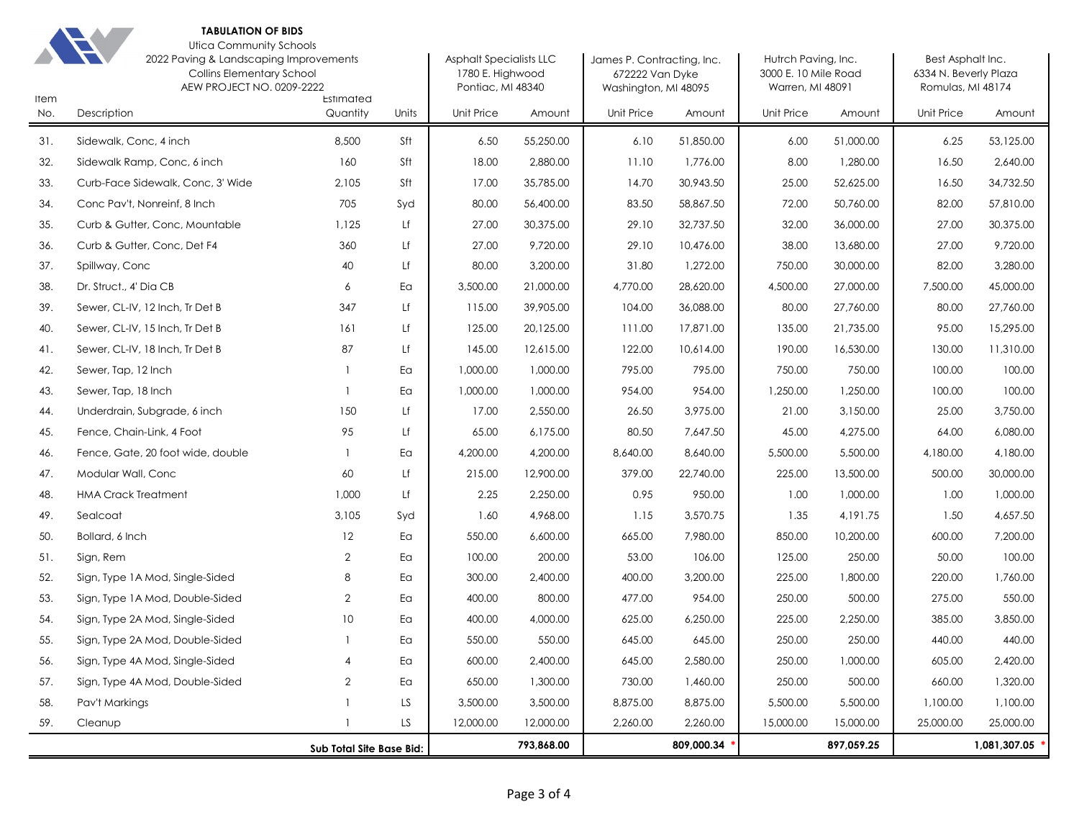

#### **TABULATION OF BIDS** Utica Community Schools

| <b>UNCA COMMUNISMENT OCTIONS</b>       |  |
|----------------------------------------|--|
| 2022 Pavina & Landscapina Improvements |  |

| Item | onda commoniny adhoois<br>2022 Paving & Landscaping Improvements<br><b>Collins Elementary School</b><br>AEW PROJECT NO. 0209-2222 | Estimated                |       | <b>Asphalt Specialists LLC</b><br>1780 E. Highwood<br>Pontiac, MI 48340 |            | James P. Contracting, Inc.<br>672222 Van Dyke<br>Washington, MI 48095 |            | Hutrch Paving, Inc.<br>3000 E. 10 Mile Road<br>Warren, MI 48091 |            | Best Asphalt Inc.<br>6334 N. Beverly Plaza<br>Romulas, MI 48174 |              |
|------|-----------------------------------------------------------------------------------------------------------------------------------|--------------------------|-------|-------------------------------------------------------------------------|------------|-----------------------------------------------------------------------|------------|-----------------------------------------------------------------|------------|-----------------------------------------------------------------|--------------|
| No.  | Description                                                                                                                       | Quantity                 | Units | Unit Price                                                              | Amount     | Unit Price                                                            | Amount     | <b>Unit Price</b>                                               | Amount     | <b>Unit Price</b>                                               | Amount       |
| 31.  | Sidewalk, Conc, 4 inch                                                                                                            | 8,500                    | Sft   | 6.50                                                                    | 55,250.00  | 6.10                                                                  | 51,850.00  | 6.00                                                            | 51,000.00  | 6.25                                                            | 53,125.00    |
| 32.  | Sidewalk Ramp, Conc, 6 inch                                                                                                       | 160                      | Sft   | 18.00                                                                   | 2,880.00   | 11.10                                                                 | 1,776.00   | 8.00                                                            | 1,280.00   | 16.50                                                           | 2,640.00     |
| 33.  | Curb-Face Sidewalk, Conc, 3' Wide                                                                                                 | 2,105                    | Sft   | 17.00                                                                   | 35,785.00  | 14.70                                                                 | 30,943.50  | 25.00                                                           | 52,625.00  | 16.50                                                           | 34,732.50    |
| 34.  | Conc Pav't, Nonreinf, 8 Inch                                                                                                      | 705                      | Syd   | 80.00                                                                   | 56,400.00  | 83.50                                                                 | 58,867.50  | 72.00                                                           | 50,760.00  | 82.00                                                           | 57,810.00    |
| 35.  | Curb & Gutter, Conc, Mountable                                                                                                    | 1,125                    | Lf    | 27.00                                                                   | 30,375.00  | 29.10                                                                 | 32,737.50  | 32.00                                                           | 36,000.00  | 27.00                                                           | 30,375.00    |
| 36.  | Curb & Gutter, Conc, Det F4                                                                                                       | 360                      | Lf    | 27.00                                                                   | 9,720.00   | 29.10                                                                 | 10,476.00  | 38.00                                                           | 13,680.00  | 27.00                                                           | 9,720.00     |
| 37.  | Spillway, Conc                                                                                                                    | 40                       | Lf    | 80.00                                                                   | 3,200.00   | 31.80                                                                 | 1,272.00   | 750.00                                                          | 30,000.00  | 82.00                                                           | 3,280.00     |
| 38.  | Dr. Struct., 4' Dia CB                                                                                                            | 6                        | Ea    | 3,500.00                                                                | 21,000.00  | 4,770.00                                                              | 28,620.00  | 4,500.00                                                        | 27,000.00  | 7,500.00                                                        | 45,000.00    |
| 39.  | Sewer, CL-IV, 12 Inch, Tr Det B                                                                                                   | 347                      | Lf    | 115.00                                                                  | 39,905.00  | 104.00                                                                | 36,088.00  | 80.00                                                           | 27,760.00  | 80.00                                                           | 27,760.00    |
| 40.  | Sewer, CL-IV, 15 Inch, Tr Det B                                                                                                   | 161                      | Lf    | 125.00                                                                  | 20,125.00  | 111.00                                                                | 17,871.00  | 135.00                                                          | 21,735.00  | 95.00                                                           | 15,295.00    |
| 41.  | Sewer, CL-IV, 18 Inch, Tr Det B                                                                                                   | 87                       | Lf    | 145.00                                                                  | 12,615.00  | 122.00                                                                | 10,614.00  | 190.00                                                          | 16,530.00  | 130.00                                                          | 11,310.00    |
| 42.  | Sewer, Tap, 12 Inch                                                                                                               | $\mathbf{1}$             | Ea    | 1,000.00                                                                | 1,000.00   | 795.00                                                                | 795.00     | 750.00                                                          | 750.00     | 100.00                                                          | 100.00       |
| 43.  | Sewer, Tap, 18 Inch                                                                                                               | $\overline{1}$           | Ea    | 1,000.00                                                                | 1,000.00   | 954.00                                                                | 954.00     | 1,250.00                                                        | 1,250.00   | 100.00                                                          | 100.00       |
| 44.  | Underdrain, Subgrade, 6 inch                                                                                                      | 150                      | Lf    | 17.00                                                                   | 2,550.00   | 26.50                                                                 | 3,975.00   | 21.00                                                           | 3,150.00   | 25.00                                                           | 3,750.00     |
| 45.  | Fence, Chain-Link, 4 Foot                                                                                                         | 95                       | Lf    | 65.00                                                                   | 6,175.00   | 80.50                                                                 | 7,647.50   | 45.00                                                           | 4,275.00   | 64.00                                                           | 6,080.00     |
| 46.  | Fence, Gate, 20 foot wide, double                                                                                                 | $\overline{1}$           | Ea    | 4,200.00                                                                | 4,200.00   | 8,640.00                                                              | 8,640.00   | 5,500.00                                                        | 5,500.00   | 4,180.00                                                        | 4,180.00     |
| 47.  | Modular Wall, Conc                                                                                                                | 60                       | Lf    | 215.00                                                                  | 12,900.00  | 379.00                                                                | 22,740.00  | 225.00                                                          | 13,500.00  | 500.00                                                          | 30,000.00    |
| 48.  | <b>HMA Crack Treatment</b>                                                                                                        | 1,000                    | Lf    | 2.25                                                                    | 2,250.00   | 0.95                                                                  | 950.00     | 1.00                                                            | 1,000.00   | 1.00                                                            | 1,000.00     |
| 49.  | Sealcoat                                                                                                                          | 3,105                    | Syd   | 1.60                                                                    | 4,968.00   | 1.15                                                                  | 3,570.75   | 1.35                                                            | 4,191.75   | 1.50                                                            | 4,657.50     |
| 50.  | Bollard, 6 Inch                                                                                                                   | 12                       | Ea    | 550.00                                                                  | 6,600.00   | 665.00                                                                | 7,980.00   | 850.00                                                          | 10,200.00  | 600.00                                                          | 7,200.00     |
| 51.  | Sign, Rem                                                                                                                         | $\overline{2}$           | Ea    | 100.00                                                                  | 200.00     | 53.00                                                                 | 106.00     | 125.00                                                          | 250.00     | 50.00                                                           | 100.00       |
| 52.  | Sign, Type 1A Mod, Single-Sided                                                                                                   | 8                        | Ea    | 300.00                                                                  | 2,400.00   | 400.00                                                                | 3,200.00   | 225.00                                                          | 1,800.00   | 220.00                                                          | 1,760.00     |
| 53.  | Sign, Type 1A Mod, Double-Sided                                                                                                   | 2                        | Ea    | 400.00                                                                  | 800.00     | 477.00                                                                | 954.00     | 250.00                                                          | 500.00     | 275.00                                                          | 550.00       |
| 54.  | Sign, Type 2A Mod, Single-Sided                                                                                                   | 10                       | Ea    | 400.00                                                                  | 4,000.00   | 625.00                                                                | 6,250.00   | 225.00                                                          | 2,250.00   | 385.00                                                          | 3,850.00     |
| 55.  | Sign, Type 2A Mod, Double-Sided                                                                                                   | $\overline{1}$           | Ea    | 550.00                                                                  | 550.00     | 645.00                                                                | 645.00     | 250.00                                                          | 250.00     | 440.00                                                          | 440.00       |
| 56.  | Sign, Type 4A Mod, Single-Sided                                                                                                   | $\overline{4}$           | Ea    | 600.00                                                                  | 2,400.00   | 645.00                                                                | 2,580.00   | 250.00                                                          | 1,000.00   | 605.00                                                          | 2,420.00     |
| 57.  | Sign, Type 4A Mod, Double-Sided                                                                                                   | $\overline{2}$           | Ea    | 650.00                                                                  | 1,300.00   | 730.00                                                                | 1,460.00   | 250.00                                                          | 500.00     | 660.00                                                          | 1,320.00     |
| 58.  | Pav't Markings                                                                                                                    |                          | LS    | 3,500.00                                                                | 3,500.00   | 8,875.00                                                              | 8,875.00   | 5,500.00                                                        | 5,500.00   | 1,100.00                                                        | 1,100.00     |
| 59.  | Cleanup                                                                                                                           |                          | LS.   | 12,000.00                                                               | 12,000.00  | 2,260.00                                                              | 2,260.00   | 15,000.00                                                       | 15,000.00  | 25,000.00                                                       | 25,000.00    |
|      |                                                                                                                                   | Sub Total Site Base Bid: |       |                                                                         | 793,868.00 |                                                                       | 809,000.34 |                                                                 | 897,059.25 |                                                                 | 1,081,307.05 |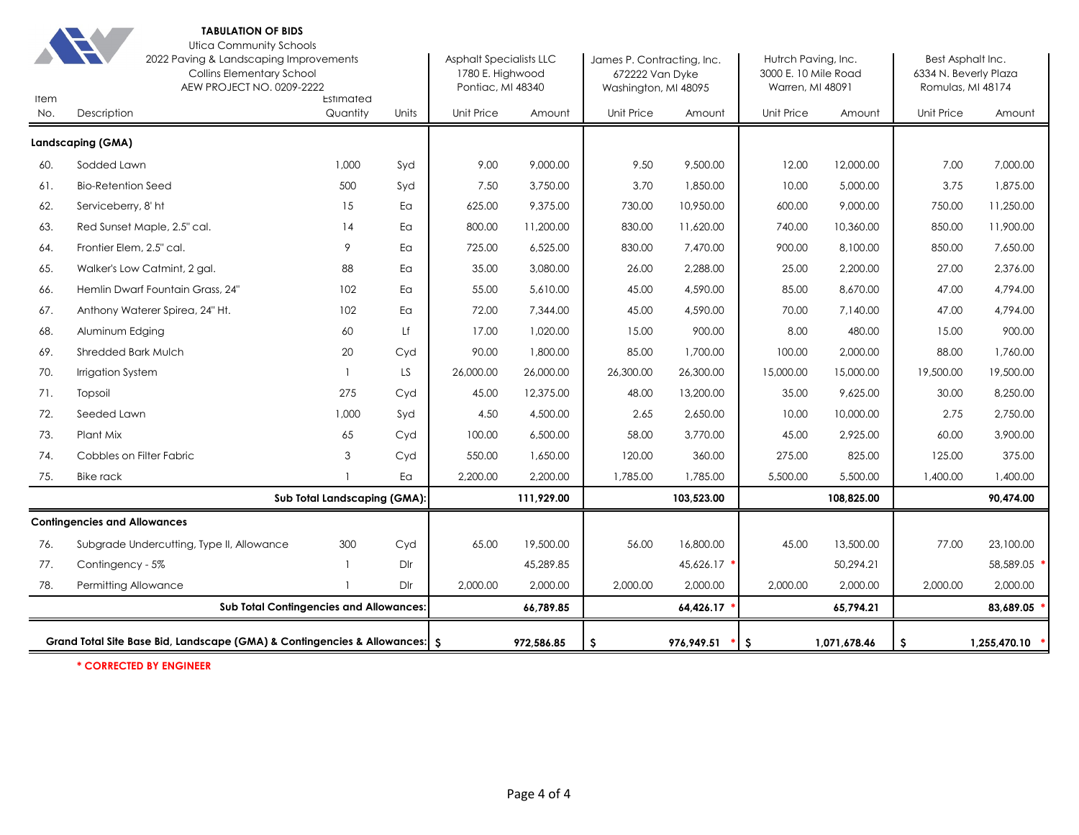

#### **TABULATION OF BIDS** Utica Community Schools

| <b>Item</b> | $\overline{ }$<br>2022 Paving & Landscaping Improvements<br><b>Collins Elementary School</b><br>AEW PROJECT NO. 0209-2222<br>Estimated |                              |       | <b>Asphalt Specialists LLC</b><br>1780 E. Highwood<br>Pontiac, MI 48340 |            | James P. Contracting, Inc.<br>672222 Van Dyke<br>Washington, MI 48095 |             | Hutrch Paving, Inc.<br>3000 E. 10 Mile Road<br>Warren, MI 48091 |              | Best Asphalt Inc.<br>6334 N. Beverly Plaza<br>Romulas, MI 48174 |              |  |
|-------------|----------------------------------------------------------------------------------------------------------------------------------------|------------------------------|-------|-------------------------------------------------------------------------|------------|-----------------------------------------------------------------------|-------------|-----------------------------------------------------------------|--------------|-----------------------------------------------------------------|--------------|--|
| No.         | Description                                                                                                                            | Quantity                     | Units | Unit Price                                                              | Amount     | <b>Unit Price</b>                                                     | Amount      | Unit Price                                                      | Amount       | Unit Price                                                      | Amount       |  |
|             | Landscaping (GMA)                                                                                                                      |                              |       |                                                                         |            |                                                                       |             |                                                                 |              |                                                                 |              |  |
| 60.         | Sodded Lawn                                                                                                                            | 1,000                        | Syd   | 9.00                                                                    | 9,000.00   | 9.50                                                                  | 9,500.00    | 12.00                                                           | 12,000.00    | 7.00                                                            | 7,000.00     |  |
| 61.         | <b>Bio-Retention Seed</b>                                                                                                              | 500                          | Syd   | 7.50                                                                    | 3,750.00   | 3.70                                                                  | 1,850.00    | 10.00                                                           | 5,000.00     | 3.75                                                            | 1,875.00     |  |
| 62.         | Serviceberry, 8' ht                                                                                                                    | 15                           | Ea    | 625.00                                                                  | 9,375.00   | 730.00                                                                | 10,950.00   | 600.00                                                          | 9,000.00     | 750.00                                                          | 11,250.00    |  |
| 63.         | Red Sunset Maple, 2.5" cal.                                                                                                            | 14                           | Ea    | 800.00                                                                  | 11,200.00  | 830.00                                                                | 11,620.00   | 740.00                                                          | 10,360.00    | 850.00                                                          | 11,900.00    |  |
| 64.         | Frontier Elem, 2.5" cal.                                                                                                               | 9                            | Ea    | 725.00                                                                  | 6,525.00   | 830.00                                                                | 7,470.00    | 900.00                                                          | 8,100.00     | 850.00                                                          | 7,650.00     |  |
| 65.         | Walker's Low Catmint, 2 gal.                                                                                                           | 88                           | Ea    | 35.00                                                                   | 3,080.00   | 26.00                                                                 | 2,288.00    | 25.00                                                           | 2,200.00     | 27.00                                                           | 2,376.00     |  |
| 66.         | Hemlin Dwarf Fountain Grass, 24"                                                                                                       | 102                          | Ea    | 55.00                                                                   | 5,610.00   | 45.00                                                                 | 4,590.00    | 85.00                                                           | 8,670.00     | 47.00                                                           | 4,794.00     |  |
| 67.         | Anthony Waterer Spirea, 24" Ht.                                                                                                        | 102                          | Ea    | 72.00                                                                   | 7,344.00   | 45.00                                                                 | 4,590.00    | 70.00                                                           | 7,140.00     | 47.00                                                           | 4,794.00     |  |
| 68.         | Aluminum Edging                                                                                                                        | 60                           | Lf    | 17.00                                                                   | 1,020.00   | 15.00                                                                 | 900.00      | 8.00                                                            | 480.00       | 15.00                                                           | 900.00       |  |
| 69.         | <b>Shredded Bark Mulch</b>                                                                                                             | 20                           | Cyd   | 90.00                                                                   | 1,800.00   | 85.00                                                                 | 1,700.00    | 100.00                                                          | 2,000.00     | 88.00                                                           | 1,760.00     |  |
| 70.         | Irrigation System                                                                                                                      |                              | LS    | 26,000.00                                                               | 26,000.00  | 26,300.00                                                             | 26,300.00   | 15,000.00                                                       | 15,000.00    | 19,500.00                                                       | 19,500.00    |  |
| 71.         | Topsoil                                                                                                                                | 275                          | Cyd   | 45.00                                                                   | 12,375.00  | 48.00                                                                 | 13,200.00   | 35.00                                                           | 9,625.00     | 30.00                                                           | 8,250.00     |  |
| 72.         | Seeded Lawn                                                                                                                            | 1,000                        | Syd   | 4.50                                                                    | 4,500.00   | 2.65                                                                  | 2,650.00    | 10.00                                                           | 10,000.00    | 2.75                                                            | 2,750.00     |  |
| 73.         | Plant Mix                                                                                                                              | 65                           | Cyd   | 100.00                                                                  | 6,500.00   | 58.00                                                                 | 3,770.00    | 45.00                                                           | 2,925.00     | 60.00                                                           | 3,900.00     |  |
| 74.         | Cobbles on Filter Fabric                                                                                                               | 3                            | Cyd   | 550.00                                                                  | 1,650.00   | 120.00                                                                | 360.00      | 275.00                                                          | 825.00       | 125.00                                                          | 375.00       |  |
| 75.         | <b>Bike rack</b>                                                                                                                       |                              | Ea    | 2,200.00                                                                | 2,200.00   | 1,785.00                                                              | 1,785.00    | 5,500.00                                                        | 5,500.00     | 1,400.00                                                        | 1,400.00     |  |
|             |                                                                                                                                        | Sub Total Landscaping (GMA): |       |                                                                         | 111,929.00 |                                                                       | 103,523.00  |                                                                 | 108,825.00   |                                                                 | 90,474.00    |  |
|             | <b>Contingencies and Allowances</b>                                                                                                    |                              |       |                                                                         |            |                                                                       |             |                                                                 |              |                                                                 |              |  |
| 76.         | Subgrade Undercutting, Type II, Allowance                                                                                              | 300                          | Cyd   | 65.00                                                                   | 19,500.00  | 56.00                                                                 | 16,800.00   | 45.00                                                           | 13,500.00    | 77.00                                                           | 23,100.00    |  |
| 77.         | Contingency - 5%                                                                                                                       |                              | Dlr   |                                                                         | 45,289.85  |                                                                       | 45,626.17 ' |                                                                 | 50,294.21    |                                                                 | 58,589.05    |  |
| 78.         | Permitting Allowance                                                                                                                   |                              | Dlr   | 2,000.00                                                                | 2,000.00   | 2,000.00                                                              | 2,000.00    | 2,000.00                                                        | 2,000.00     | 2,000.00                                                        | 2,000.00     |  |
|             | <b>Sub Total Contingencies and Allowances:</b>                                                                                         |                              |       |                                                                         | 66,789.85  |                                                                       | 64,426.17   |                                                                 | 65,794.21    |                                                                 | 83,689.05    |  |
|             | Grand Total Site Base Bid, Landscape (GMA) & Contingencies & Allowances: S                                                             |                              |       |                                                                         | 972,586.85 | -S                                                                    | 976,949.51  | -S                                                              | 1,071,678.46 | \$.                                                             | 1,255,470.10 |  |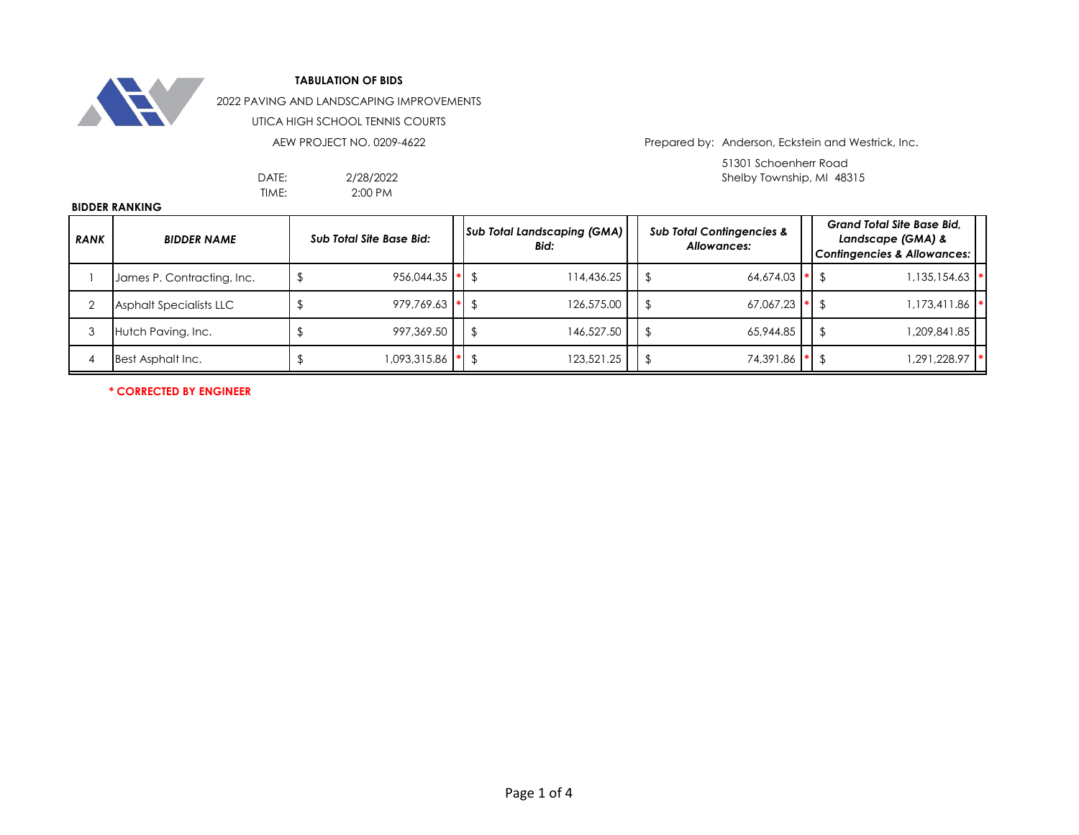

2022 PAVING AND LANDSCAPING IMPROVEMENTS

UTICA HIGH SCHOOL TENNIS COURTS

AEW PROJECT NO. 0209-4622

2/28/2022 2:00 PM

TIME:

Prepared by: Anderson, Eckstein and Westrick, Inc.

51301 Schoenherr Road DATE: Shelby Township, MI 48315

#### **BIDDER RANKING**

| <b>RANK</b> | <b>BIDDER NAME</b>             | <b>Sub Total Site Base Bid:</b> |  |            |  |                  |  |              |  |  |  |  |  |  |  | <b>Sub Total Landscaping (GMA)</b><br>Bid: |  | <b>Sub Total Contingencies &amp;</b><br>Allowances: |  | <b>Grand Total Site Base Bid.</b><br>Landscape (GMA) &<br><b>Contingencies &amp; Allowances:</b> |  |
|-------------|--------------------------------|---------------------------------|--|------------|--|------------------|--|--------------|--|--|--|--|--|--|--|--------------------------------------------|--|-----------------------------------------------------|--|--------------------------------------------------------------------------------------------------|--|
|             | James P. Contracting, Inc.     | $956,044.35$ $\bullet$          |  | 114,436.25 |  | $64.674.03$ * \$ |  | ,135,154.63  |  |  |  |  |  |  |  |                                            |  |                                                     |  |                                                                                                  |  |
|             | <b>Asphalt Specialists LLC</b> | $979.769.63$ * \$               |  | 126,575.00 |  | $67.067.23$ * \$ |  | 1,173,411.86 |  |  |  |  |  |  |  |                                            |  |                                                     |  |                                                                                                  |  |
|             | Hutch Paving, Inc.             | 997,369.50                      |  | 146,527.50 |  | 65,944.85        |  | 85.188,909,  |  |  |  |  |  |  |  |                                            |  |                                                     |  |                                                                                                  |  |
|             | Best Asphalt Inc.              | 1,093,315.86                    |  | 123,521.25 |  | 74.391.86 * \$   |  | 291,228.97   |  |  |  |  |  |  |  |                                            |  |                                                     |  |                                                                                                  |  |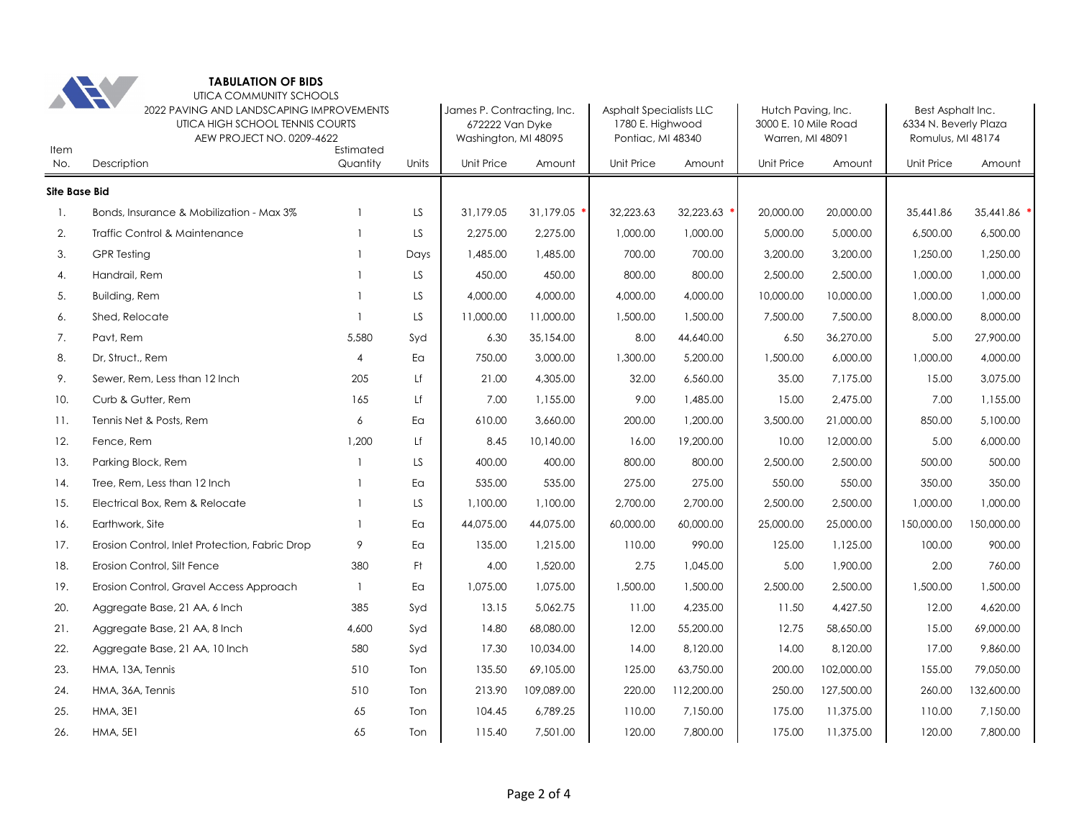

| Item                 | A FI<br>UIICA COMMUNII Y SCHOOLS<br>2022 PAVING AND LANDSCAPING IMPROVEMENTS<br>UTICA HIGH SCHOOL TENNIS COURTS<br>AEW PROJECT NO. 0209-4622 |                       | James P. Contracting, Inc.<br>672222 Van Dyke<br>Washington, MI 48095 |            | <b>Asphalt Specialists LLC</b><br>1780 E. Highwood<br>Pontiac, MI 48340 |            | Hutch Paving, Inc.<br>3000 E. 10 Mile Road<br>Warren, MI 48091 |            | Best Asphalt Inc.<br>6334 N. Beverly Plaza<br>Romulus, MI 48174 |            |             |
|----------------------|----------------------------------------------------------------------------------------------------------------------------------------------|-----------------------|-----------------------------------------------------------------------|------------|-------------------------------------------------------------------------|------------|----------------------------------------------------------------|------------|-----------------------------------------------------------------|------------|-------------|
| No.                  | Description                                                                                                                                  | Estimated<br>Quantity | Units                                                                 | Unit Price | Amount                                                                  | Unit Price | Amount                                                         | Unit Price | Amount                                                          | Unit Price | Amount      |
| <b>Site Base Bid</b> |                                                                                                                                              |                       |                                                                       |            |                                                                         |            |                                                                |            |                                                                 |            |             |
| -1.                  | Bonds, Insurance & Mobilization - Max 3%                                                                                                     |                       | LS.                                                                   | 31,179.05  | 31,179.05                                                               | 32,223.63  | 32,223.63                                                      | 20,000.00  | 20,000.00                                                       | 35,441.86  | 35,441.86 ' |
| 2.                   | Traffic Control & Maintenance                                                                                                                | $\mathbf{1}$          | LS.                                                                   | 2,275.00   | 2,275.00                                                                | 1,000.00   | 1,000.00                                                       | 5,000.00   | 5,000.00                                                        | 6,500.00   | 6,500.00    |
| 3.                   | <b>GPR Testing</b>                                                                                                                           | $\mathbf{1}$          | Days                                                                  | 1,485.00   | 1,485.00                                                                | 700.00     | 700.00                                                         | 3,200,00   | 3,200.00                                                        | 1,250.00   | 1,250.00    |
| 4.                   | Handrail, Rem                                                                                                                                |                       | LS.                                                                   | 450.00     | 450.00                                                                  | 800.00     | 800.00                                                         | 2,500.00   | 2,500.00                                                        | 1,000.00   | 1,000.00    |
| 5.                   | <b>Building, Rem</b>                                                                                                                         |                       | LS                                                                    | 4,000.00   | 4,000.00                                                                | 4,000.00   | 4,000.00                                                       | 10,000.00  | 10,000.00                                                       | 1,000.00   | 1,000.00    |
| 6.                   | Shed, Relocate                                                                                                                               | $\overline{1}$        | LS                                                                    | 11,000.00  | 11,000.00                                                               | 1,500.00   | 1,500.00                                                       | 7,500.00   | 7,500.00                                                        | 8,000.00   | 8,000.00    |
| 7.                   | Pavt, Rem                                                                                                                                    | 5,580                 | Syd                                                                   | 6.30       | 35,154.00                                                               | 8.00       | 44,640.00                                                      | 6.50       | 36,270.00                                                       | 5.00       | 27,900.00   |
| 8.                   | Dr. Struct., Rem                                                                                                                             | $\overline{4}$        | Ea                                                                    | 750.00     | 3,000.00                                                                | 1,300.00   | 5,200.00                                                       | 1,500.00   | 6,000.00                                                        | 1,000.00   | 4,000.00    |
| 9.                   | Sewer, Rem, Less than 12 Inch                                                                                                                | 205                   | Lf                                                                    | 21.00      | 4,305.00                                                                | 32.00      | 6,560.00                                                       | 35.00      | 7,175.00                                                        | 15.00      | 3,075.00    |
| 10.                  | Curb & Gutter, Rem                                                                                                                           | 165                   | Lf                                                                    | 7.00       | 1,155.00                                                                | 9.00       | 1,485.00                                                       | 15.00      | 2,475.00                                                        | 7.00       | 1,155.00    |
| 11.                  | Tennis Net & Posts, Rem                                                                                                                      | 6                     | Ea                                                                    | 610.00     | 3,660.00                                                                | 200.00     | 1,200.00                                                       | 3,500.00   | 21,000.00                                                       | 850.00     | 5,100.00    |
| 12.                  | Fence, Rem                                                                                                                                   | 1,200                 | Lf                                                                    | 8.45       | 10,140.00                                                               | 16.00      | 19,200.00                                                      | 10.00      | 12,000.00                                                       | 5.00       | 6,000.00    |
| 13.                  | Parking Block, Rem                                                                                                                           | -1                    | LS.                                                                   | 400.00     | 400.00                                                                  | 800.00     | 800.00                                                         | 2,500.00   | 2,500.00                                                        | 500.00     | 500.00      |
| 14.                  | Tree, Rem, Less than 12 Inch                                                                                                                 |                       | Ea                                                                    | 535.00     | 535.00                                                                  | 275.00     | 275.00                                                         | 550.00     | 550.00                                                          | 350.00     | 350.00      |
| 15.                  | Electrical Box, Rem & Relocate                                                                                                               | $\mathbf{1}$          | LS                                                                    | 1,100.00   | 1,100.00                                                                | 2,700.00   | 2,700.00                                                       | 2,500.00   | 2,500.00                                                        | 1,000.00   | 1,000.00    |
| 16.                  | Earthwork, Site                                                                                                                              | -1                    | Ea                                                                    | 44,075.00  | 44,075.00                                                               | 60,000.00  | 60,000.00                                                      | 25,000.00  | 25,000.00                                                       | 150,000.00 | 150,000.00  |
| 17.                  | Erosion Control, Inlet Protection, Fabric Drop                                                                                               | 9                     | Ea                                                                    | 135.00     | 1,215.00                                                                | 110.00     | 990.00                                                         | 125.00     | 1,125.00                                                        | 100.00     | 900.00      |
| 18.                  | Erosion Control, Silt Fence                                                                                                                  | 380                   | Ft                                                                    | 4.00       | 1,520.00                                                                | 2.75       | 1,045.00                                                       | 5.00       | 1,900.00                                                        | 2.00       | 760.00      |
| 19.                  | Erosion Control, Gravel Access Approach                                                                                                      | $\mathbf{1}$          | Ea                                                                    | 1,075.00   | 1,075.00                                                                | 1,500.00   | 1,500.00                                                       | 2,500.00   | 2,500.00                                                        | 1,500.00   | 1,500.00    |
| 20.                  | Aggregate Base, 21 AA, 6 Inch                                                                                                                | 385                   | Syd                                                                   | 13.15      | 5,062.75                                                                | 11.00      | 4,235.00                                                       | 11.50      | 4,427.50                                                        | 12.00      | 4,620.00    |
| 21.                  | Aggregate Base, 21 AA, 8 Inch                                                                                                                | 4,600                 | Syd                                                                   | 14.80      | 68,080.00                                                               | 12.00      | 55,200.00                                                      | 12.75      | 58,650.00                                                       | 15.00      | 69,000.00   |
| 22.                  | Aggregate Base, 21 AA, 10 Inch                                                                                                               | 580                   | Syd                                                                   | 17.30      | 10,034.00                                                               | 14.00      | 8,120.00                                                       | 14.00      | 8,120.00                                                        | 17.00      | 9,860.00    |
| 23.                  | HMA, 13A, Tennis                                                                                                                             | 510                   | Ton                                                                   | 135.50     | 69,105.00                                                               | 125.00     | 63,750.00                                                      | 200.00     | 102,000.00                                                      | 155.00     | 79,050.00   |
| 24.                  | HMA, 36A, Tennis                                                                                                                             | 510                   | Ton                                                                   | 213.90     | 109,089.00                                                              | 220.00     | 112,200.00                                                     | 250.00     | 127,500.00                                                      | 260.00     | 132,600.00  |
| 25.                  | <b>HMA, 3E1</b>                                                                                                                              | 65                    | Ton                                                                   | 104.45     | 6,789.25                                                                | 110.00     | 7,150.00                                                       | 175.00     | 11,375.00                                                       | 110.00     | 7,150.00    |
| 26.                  | <b>HMA, 5E1</b>                                                                                                                              | 65                    | Ton                                                                   | 115.40     | 7,501.00                                                                | 120.00     | 7,800.00                                                       | 175.00     | 11,375.00                                                       | 120.00     | 7,800.00    |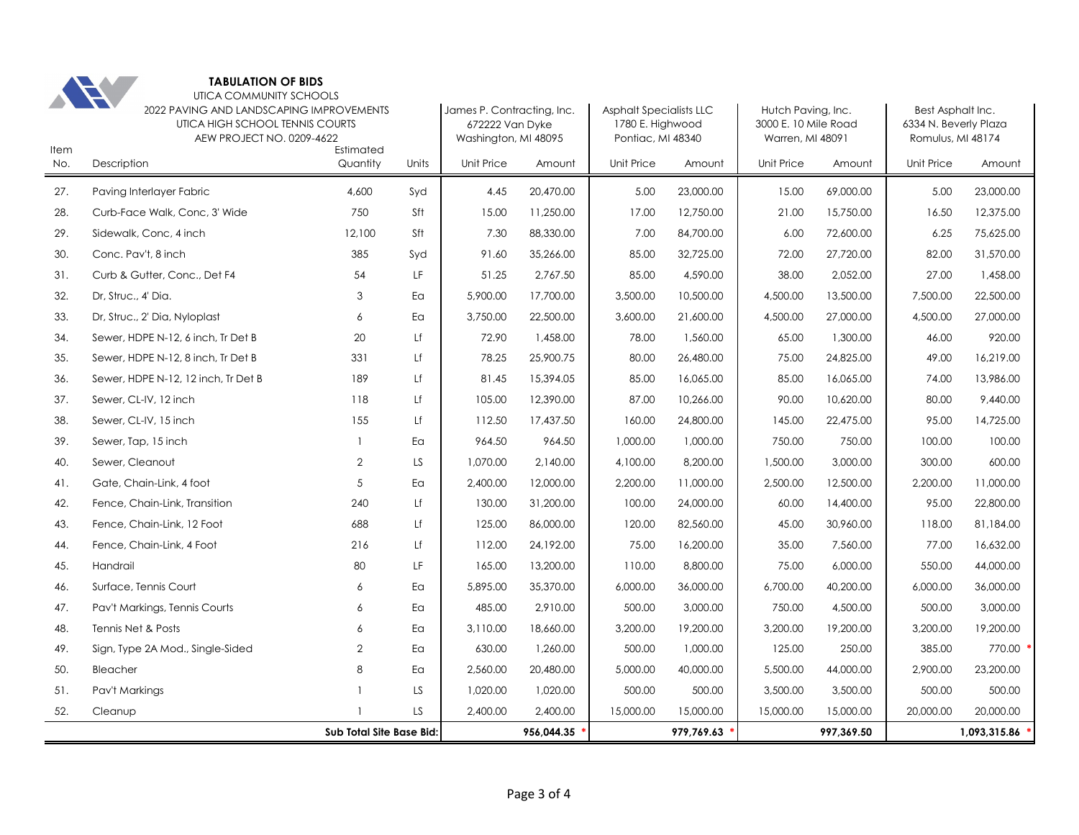

| Item | <b>TEV</b><br>01107 \ 0011\11\101 \11   001 100 LJ<br>2022 PAVING AND LANDSCAPING IMPROVEMENTS<br>UTICA HIGH SCHOOL TENNIS COURTS<br>AEW PROJECT NO. 0209-4622 | Estimated                |       | James P. Contracting, Inc.<br>672222 Van Dyke<br>Washington, MI 48095 |            | <b>Asphalt Specialists LLC</b><br>1780 E. Highwood<br>Pontiac, MI 48340 |            | Hutch Paving, Inc.<br>3000 E. 10 Mile Road<br>Warren, MI 48091 |            | Best Asphalt Inc.<br>6334 N. Beverly Plaza<br>Romulus, MI 48174 |              |  |
|------|----------------------------------------------------------------------------------------------------------------------------------------------------------------|--------------------------|-------|-----------------------------------------------------------------------|------------|-------------------------------------------------------------------------|------------|----------------------------------------------------------------|------------|-----------------------------------------------------------------|--------------|--|
| No.  | Description                                                                                                                                                    | Quantity                 | Units | Unit Price                                                            | Amount     | Unit Price                                                              | Amount     | <b>Unit Price</b>                                              | Amount     | <b>Unit Price</b>                                               | Amount       |  |
| 27.  | Paving Interlayer Fabric                                                                                                                                       | 4,600                    | Syd   | 4.45                                                                  | 20,470.00  | 5.00                                                                    | 23,000.00  | 15.00                                                          | 69,000.00  | 5.00                                                            | 23,000.00    |  |
| 28.  | Curb-Face Walk, Conc, 3' Wide                                                                                                                                  | 750                      | Sft   | 15.00                                                                 | 11,250.00  | 17.00                                                                   | 12,750.00  | 21.00                                                          | 15,750.00  | 16.50                                                           | 12,375.00    |  |
| 29.  | Sidewalk, Conc, 4 inch                                                                                                                                         | 12,100                   | Sft   | 7.30                                                                  | 88,330.00  | 7.00                                                                    | 84,700.00  | 6.00                                                           | 72,600.00  | 6.25                                                            | 75,625.00    |  |
| 30.  | Conc. Pav't, 8 inch                                                                                                                                            | 385                      | Syd   | 91.60                                                                 | 35,266.00  | 85.00                                                                   | 32,725.00  | 72.00                                                          | 27,720.00  | 82.00                                                           | 31,570.00    |  |
| 31.  | Curb & Gutter, Conc., Det F4                                                                                                                                   | 54                       | LF    | 51.25                                                                 | 2,767.50   | 85.00                                                                   | 4,590.00   | 38.00                                                          | 2,052.00   | 27.00                                                           | 1,458.00     |  |
| 32.  | Dr, Struc., 4' Dia.                                                                                                                                            | 3                        | Ea    | 5,900.00                                                              | 17,700.00  | 3,500.00                                                                | 10,500.00  | 4,500.00                                                       | 13,500.00  | 7,500.00                                                        | 22,500.00    |  |
| 33.  | Dr, Struc., 2' Dia, Nyloplast                                                                                                                                  | 6                        | Ea    | 3,750.00                                                              | 22,500.00  | 3,600.00                                                                | 21,600.00  | 4,500.00                                                       | 27,000.00  | 4,500.00                                                        | 27,000.00    |  |
| 34.  | Sewer, HDPE N-12, 6 inch, Tr Det B                                                                                                                             | 20                       | Lf    | 72.90                                                                 | 1,458.00   | 78.00                                                                   | 1,560.00   | 65.00                                                          | 1,300.00   | 46.00                                                           | 920.00       |  |
| 35.  | Sewer, HDPE N-12, 8 inch, Tr Det B                                                                                                                             | 331                      | Lf    | 78.25                                                                 | 25,900.75  | 80.00                                                                   | 26,480.00  | 75.00                                                          | 24,825.00  | 49.00                                                           | 16,219.00    |  |
| 36.  | Sewer, HDPE N-12, 12 inch, Tr Det B                                                                                                                            | 189                      | Lf    | 81.45                                                                 | 15,394.05  | 85.00                                                                   | 16,065.00  | 85.00                                                          | 16,065.00  | 74.00                                                           | 13,986.00    |  |
| 37.  | Sewer, CL-IV, 12 inch                                                                                                                                          | 118                      | Lf    | 105.00                                                                | 12,390.00  | 87.00                                                                   | 10,266.00  | 90.00                                                          | 10,620.00  | 80.00                                                           | 9,440.00     |  |
| 38.  | Sewer, CL-IV, 15 inch                                                                                                                                          | 155                      | Lf    | 112.50                                                                | 17,437.50  | 160.00                                                                  | 24,800.00  | 145.00                                                         | 22,475.00  | 95.00                                                           | 14,725.00    |  |
| 39.  | Sewer, Tap, 15 inch                                                                                                                                            |                          | Ea    | 964.50                                                                | 964.50     | 1,000.00                                                                | 1,000.00   | 750.00                                                         | 750.00     | 100.00                                                          | 100.00       |  |
| 40.  | Sewer, Cleanout                                                                                                                                                | $\overline{2}$           | LS    | 1,070.00                                                              | 2,140.00   | 4,100.00                                                                | 8,200.00   | 1,500.00                                                       | 3,000.00   | 300.00                                                          | 600.00       |  |
| 41.  | Gate, Chain-Link, 4 foot                                                                                                                                       | 5                        | Ea    | 2,400.00                                                              | 12,000.00  | 2,200.00                                                                | 11,000.00  | 2,500.00                                                       | 12,500.00  | 2,200.00                                                        | 11,000.00    |  |
| 42.  | Fence, Chain-Link, Transition                                                                                                                                  | 240                      | Lf    | 130.00                                                                | 31,200.00  | 100.00                                                                  | 24,000.00  | 60.00                                                          | 14,400.00  | 95.00                                                           | 22,800.00    |  |
| 43.  | Fence, Chain-Link, 12 Foot                                                                                                                                     | 688                      | Lf    | 125.00                                                                | 86,000.00  | 120.00                                                                  | 82,560.00  | 45.00                                                          | 30,960.00  | 118.00                                                          | 81,184.00    |  |
| 44.  | Fence, Chain-Link, 4 Foot                                                                                                                                      | 216                      | Lf    | 112.00                                                                | 24,192.00  | 75.00                                                                   | 16,200.00  | 35.00                                                          | 7,560.00   | 77.00                                                           | 16,632.00    |  |
| 45.  | Handrail                                                                                                                                                       | 80                       | LF    | 165.00                                                                | 13,200.00  | 110.00                                                                  | 8,800.00   | 75.00                                                          | 6,000.00   | 550.00                                                          | 44,000.00    |  |
| 46.  | Surface, Tennis Court                                                                                                                                          | 6                        | Ea    | 5,895.00                                                              | 35,370.00  | 6,000.00                                                                | 36,000.00  | 6,700.00                                                       | 40,200.00  | 6,000.00                                                        | 36,000.00    |  |
| 47.  | Pav't Markings, Tennis Courts                                                                                                                                  | 6                        | Ea    | 485.00                                                                | 2,910.00   | 500.00                                                                  | 3,000.00   | 750.00                                                         | 4,500.00   | 500.00                                                          | 3,000.00     |  |
| 48.  | Tennis Net & Posts                                                                                                                                             | 6                        | Ea    | 3,110.00                                                              | 18,660.00  | 3,200.00                                                                | 19,200.00  | 3,200.00                                                       | 19,200.00  | 3,200.00                                                        | 19,200.00    |  |
| 49.  | Sign, Type 2A Mod., Single-Sided                                                                                                                               | $\overline{2}$           | Ea    | 630.00                                                                | 1,260.00   | 500.00                                                                  | 1,000.00   | 125.00                                                         | 250.00     | 385.00                                                          | 770.00       |  |
| 50.  | Bleacher                                                                                                                                                       | 8                        | Ea    | 2,560.00                                                              | 20,480.00  | 5,000.00                                                                | 40,000.00  | 5,500.00                                                       | 44,000.00  | 2,900.00                                                        | 23,200.00    |  |
| 51.  | Pav't Markings                                                                                                                                                 |                          | LS    | 1,020.00                                                              | 1,020.00   | 500.00                                                                  | 500.00     | 3,500.00                                                       | 3,500.00   | 500.00                                                          | 500.00       |  |
| 52.  | Cleanup                                                                                                                                                        |                          | LS    | 2,400.00                                                              | 2,400.00   | 15,000.00                                                               | 15,000.00  | 15,000.00                                                      | 15,000.00  | 20,000.00                                                       | 20,000.00    |  |
|      |                                                                                                                                                                | Sub Total Site Base Bid: |       |                                                                       | 956,044.35 |                                                                         | 979,769.63 |                                                                | 997,369.50 |                                                                 | 1,093,315.86 |  |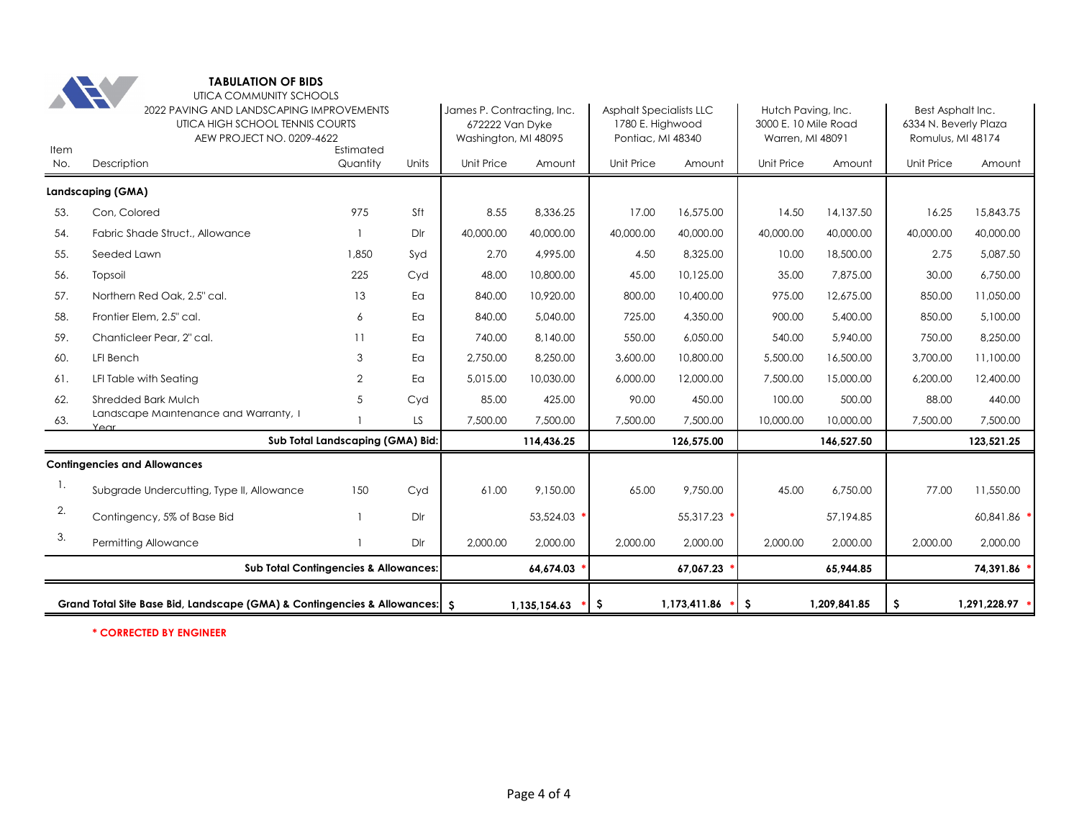

|             | Grand Total Site Base Bid, Landscape (GMA) & Contingencies & Allowances: S                                               |                                  |          |                                                       | 1.135.154.63               | -\$                                                        | 1,173,411.86 | \$.                                                    | 1,209,841.85 | \$.                                        | 1,291,228.97 * |  |
|-------------|--------------------------------------------------------------------------------------------------------------------------|----------------------------------|----------|-------------------------------------------------------|----------------------------|------------------------------------------------------------|--------------|--------------------------------------------------------|--------------|--------------------------------------------|----------------|--|
|             | <b>Sub Total Contingencies &amp; Allowances:</b>                                                                         |                                  |          |                                                       | 64,674.03                  |                                                            | 67,067.23    |                                                        | 65,944.85    |                                            | 74,391.86      |  |
| 3.          | Permitting Allowance                                                                                                     | Dlr                              | 2,000.00 | 2,000.00                                              | 2,000.00                   | 2,000.00                                                   | 2,000.00     | 2,000.00                                               | 2,000.00     | 2,000.00                                   |                |  |
| 2.          | Contingency, 5% of Base Bid                                                                                              | $\mathbf{1}$                     | Dlr      |                                                       | 53,524.03                  |                                                            | 55.317.23    |                                                        | 57.194.85    |                                            | 60.841.86      |  |
| 1.          | Subgrade Undercutting, Type II, Allowance                                                                                | 150                              | Cyd      | 61.00                                                 | 9.150.00                   | 65.00                                                      | 9,750.00     | 45.00                                                  | 6,750.00     | 77.00                                      | 11,550.00      |  |
|             | <b>Contingencies and Allowances</b>                                                                                      |                                  |          |                                                       |                            |                                                            |              |                                                        |              |                                            |                |  |
|             |                                                                                                                          | Sub Total Landscaping (GMA) Bid: |          |                                                       | 114,436.25                 |                                                            | 126.575.00   |                                                        | 146.527.50   |                                            | 123,521.25     |  |
| 63.         | Landscape Maintenance and Warranty, 1<br>$Y \in \cap$ r                                                                  |                                  | LS       | 7,500.00                                              | 7,500.00                   | 7,500.00                                                   | 7,500.00     | 10,000.00                                              | 10,000.00    | 7,500.00                                   | 7,500.00       |  |
| 62.         | <b>Shredded Bark Mulch</b>                                                                                               | 5                                | Cyd      | 85.00                                                 | 425.00                     | 90.00                                                      | 450.00       | 100.00                                                 | 500.00       | 88.00                                      | 440.00         |  |
| 61.         | LFI Table with Seating                                                                                                   | 2                                | Ea       | 5.015.00                                              | 10,030.00                  | 6,000.00                                                   | 12,000.00    | 7,500.00                                               | 15,000.00    | 6,200.00                                   | 12,400.00      |  |
| 60.         | LFI Bench                                                                                                                | 3                                | Ea       | 2,750.00                                              | 8,250.00                   | 3,600.00                                                   | 10,800.00    | 5,500.00                                               | 16,500.00    | 3,700.00                                   | 11,100.00      |  |
| 59.         | Chanticleer Pear, 2" cal.                                                                                                | 11                               | Ea       | 740.00                                                | 8,140.00                   | 550.00                                                     | 6,050.00     | 540.00                                                 | 5,940.00     | 750.00                                     | 8,250.00       |  |
| 58.         | Frontier Elem, 2.5" cal.                                                                                                 | 6                                | Ea       | 840.00                                                | 5,040.00                   | 725.00                                                     | 4,350.00     | 900.00                                                 | 5,400.00     | 850.00                                     | 5,100.00       |  |
| 57.         | Northern Red Oak, 2.5" cal.                                                                                              | 13                               | Ea       | 840.00                                                | 10,920.00                  | 800.00                                                     | 10,400.00    | 975.00                                                 | 12,675.00    | 850.00                                     | 11,050.00      |  |
| 56.         | Topsoil                                                                                                                  | 225                              | Cyd      | 48.00                                                 | 10,800.00                  | 45.00                                                      | 10,125.00    | 35.00                                                  | 7,875.00     | 30.00                                      | 6,750.00       |  |
| 55.         | Seeded Lawn                                                                                                              | 1,850                            | Syd      | 2.70                                                  | 4.995.00                   | 4.50                                                       | 8,325.00     | 10.00                                                  | 18,500.00    | 2.75                                       | 5.087.50       |  |
| 54.         | Fabric Shade Struct., Allowance                                                                                          |                                  | Dlr      | 40,000.00                                             | 40,000.00                  | 40,000.00                                                  | 40,000.00    | 40,000.00                                              | 40,000.00    | 40,000.00                                  | 40,000.00      |  |
| 53.         | Landscaping (GMA)<br>Con, Colored                                                                                        | 975                              | Sft      | 8.55                                                  | 8,336.25                   | 17.00                                                      | 16,575.00    | 14.50                                                  | 14,137.50    | 16.25                                      | 15,843.75      |  |
|             |                                                                                                                          |                                  |          |                                                       |                            |                                                            |              |                                                        |              |                                            |                |  |
| Item<br>No. | AEW PROJECT NO. 0209-4622<br>Description                                                                                 | Estimated<br>Quantity            | Units    | 672222 Van Dyke<br>Washington, MI 48095<br>Unit Price | Amount                     | 1780 E. Highwood<br>Pontiac, MI 48340<br><b>Unit Price</b> | Amount       | 3000 E. 10 Mile Road<br>Warren, MI 48091<br>Unit Price | Amount       | Romulus, MI 48174<br>Unit Price            | Amount         |  |
|             | $\mathcal{L}$<br>UIICA COMMUNII Y SCHOOLS<br>2022 PAVING AND LANDSCAPING IMPROVEMENTS<br>UTICA HIGH SCHOOL TENNIS COURTS |                                  |          |                                                       | James P. Contracting, Inc. | <b>Asphalt Specialists LLC</b>                             |              | Hutch Paving, Inc.                                     |              | Best Asphalt Inc.<br>6334 N. Beverly Plaza |                |  |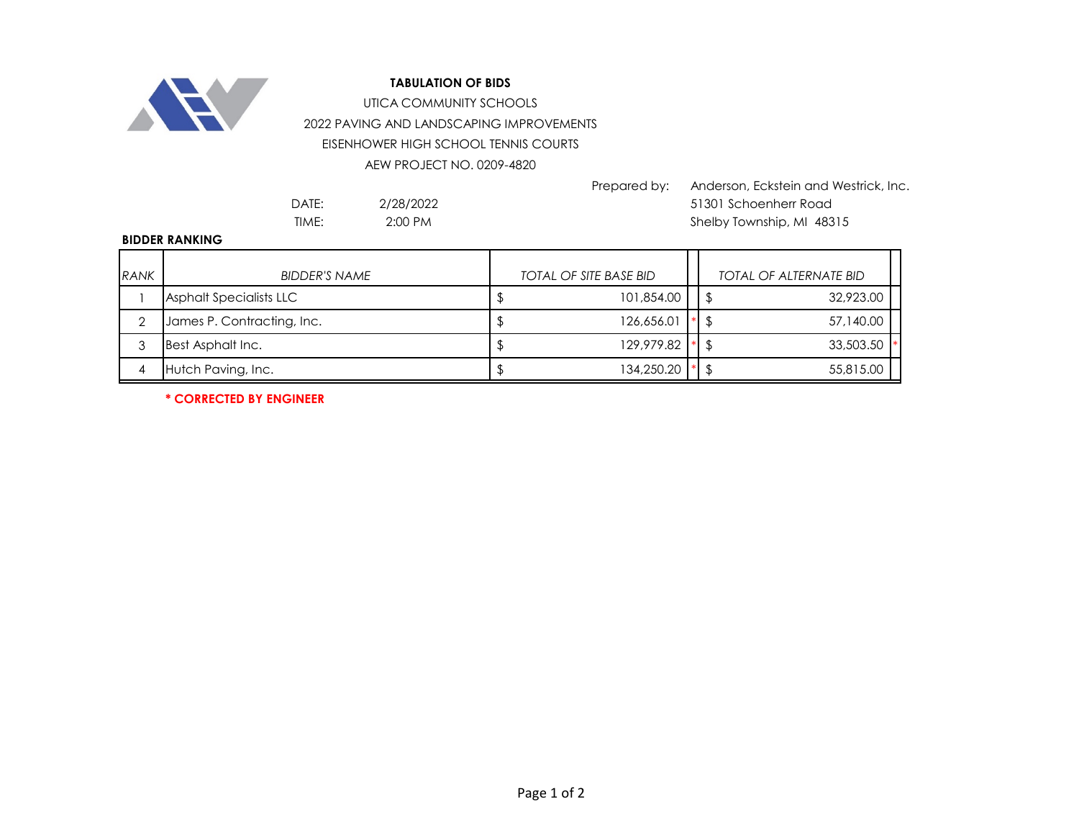

2022 PAVING AND LANDSCAPING IMPROVEMENTS EISENHOWER HIGH SCHOOL TENNIS COURTS UTICA COMMUNITY SCHOOLS

AEW PROJECT NO. 0209-4820

Prepared by: Anderson, Eckstein and Westrick, Inc. DATE: 51301 Schoenherr Road TIME: 2:00 PM 2:00 PM Shelby Township, MI 48315

2/28/2022 2:00 PM

## **BIDDER RANKING**

| <b>RANK</b> | <b>BIDDER'S NAME</b>           | <b>TOTAL OF SITE BASE BID</b> | <b>TOTAL OF ALTERNATE BID</b> |  |
|-------------|--------------------------------|-------------------------------|-------------------------------|--|
|             | <b>Asphalt Specialists LLC</b> | 101,854.00                    | 32,923.00                     |  |
|             | James P. Contracting, Inc.     | 126,656.01                    | 57,140.00                     |  |
|             | Best Asphalt Inc.              | 129,979.82                    | 33,503.50                     |  |
|             | Hutch Paving, Inc.             | 134,250.20                    | 55,815.00                     |  |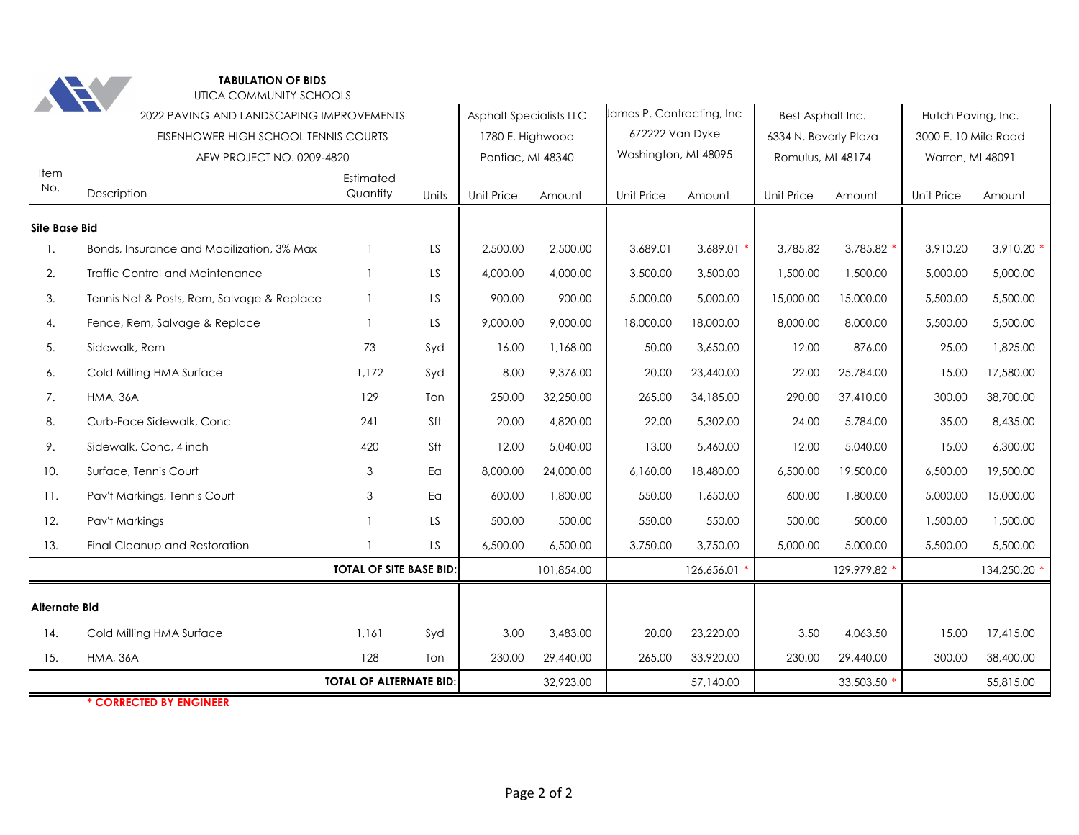

|                      | <b>TELEVISION</b>                          |                                |       |                                |            |                            |            |                       |              |                      |            |
|----------------------|--------------------------------------------|--------------------------------|-------|--------------------------------|------------|----------------------------|------------|-----------------------|--------------|----------------------|------------|
|                      | 2022 PAVING AND LANDSCAPING IMPROVEMENTS   |                                |       | <b>Asphalt Specialists LLC</b> |            | James P. Contracting, Inc. |            | Best Asphalt Inc.     |              | Hutch Paving, Inc.   |            |
|                      | EISENHOWER HIGH SCHOOL TENNIS COURTS       |                                |       | 1780 E. Highwood               |            | 672222 Van Dyke            |            | 6334 N. Beverly Plaza |              | 3000 E. 10 Mile Road |            |
|                      | AEW PROJECT NO. 0209-4820                  |                                |       | Pontiac, MI 48340              |            | Washington, MI 48095       |            | Romulus, MI 48174     |              | Warren, MI 48091     |            |
| Item<br>No.          | Description                                | Estimated<br>Quantity          | Units | <b>Unit Price</b>              | Amount     | <b>Unit Price</b>          | Amount     | Unit Price            | Amount       | Unit Price           | Amount     |
| <b>Site Base Bid</b> |                                            |                                |       |                                |            |                            |            |                       |              |                      |            |
| 1.                   | Bonds, Insurance and Mobilization, 3% Max  |                                | LS    | 2,500.00                       | 2,500.00   | 3,689.01                   | 3,689.01   | 3,785.82              | 3,785.82 *   | 3,910.20             | 3,910.20   |
| 2.                   | <b>Traffic Control and Maintenance</b>     |                                | LS    | 4,000.00                       | 4,000.00   | 3,500.00                   | 3,500.00   | 1,500.00              | 1,500.00     | 5,000.00             | 5,000.00   |
| 3.                   | Tennis Net & Posts, Rem, Salvage & Replace |                                | LS.   | 900.00                         | 900.00     | 5,000.00                   | 5,000.00   | 15,000.00             | 15,000.00    | 5,500.00             | 5,500.00   |
| 4.                   | Fence, Rem, Salvage & Replace              |                                | LS.   | 9,000.00                       | 9,000.00   | 18,000.00                  | 18,000.00  | 8,000.00              | 8,000.00     | 5,500.00             | 5,500.00   |
| 5.                   | Sidewalk, Rem                              | 73                             | Syd   | 16.00                          | 1,168.00   | 50.00                      | 3,650.00   | 12.00                 | 876.00       | 25.00                | 1,825.00   |
| 6.                   | Cold Milling HMA Surface                   | 1,172                          | Syd   | 8.00                           | 9,376.00   | 20.00                      | 23,440.00  | 22.00                 | 25,784.00    | 15.00                | 17,580.00  |
| 7.                   | <b>HMA, 36A</b>                            | 129                            | Ton   | 250.00                         | 32,250.00  | 265.00                     | 34,185.00  | 290.00                | 37,410.00    | 300.00               | 38,700.00  |
| 8.                   | Curb-Face Sidewalk, Conc                   | 241                            | Sft   | 20.00                          | 4,820.00   | 22.00                      | 5,302.00   | 24.00                 | 5,784.00     | 35.00                | 8,435.00   |
| 9.                   | Sidewalk, Conc, 4 inch                     | 420                            | Sft   | 12.00                          | 5,040.00   | 13.00                      | 5,460.00   | 12.00                 | 5,040.00     | 15.00                | 6,300.00   |
| 10.                  | Surface, Tennis Court                      | 3                              | Ea    | 8,000.00                       | 24,000.00  | 6,160.00                   | 18,480.00  | 6,500.00              | 19,500.00    | 6,500.00             | 19,500.00  |
| 11.                  | Pav't Markings, Tennis Court               | 3                              | Ea    | 600.00                         | 1,800.00   | 550.00                     | 1,650.00   | 600.00                | 1,800.00     | 5,000.00             | 15,000.00  |
| 12.                  | Pav't Markings                             |                                | LS.   | 500.00                         | 500.00     | 550.00                     | 550.00     | 500.00                | 500.00       | 1,500.00             | 1,500.00   |
| 13.                  | Final Cleanup and Restoration              |                                | LS.   | 6,500.00                       | 6,500.00   | 3,750.00                   | 3,750.00   | 5,000.00              | 5,000.00     | 5,500.00             | 5,500.00   |
|                      |                                            | <b>TOTAL OF SITE BASE BID:</b> |       |                                | 101,854.00 |                            | 126,656.01 |                       | 129,979.82 * |                      | 134,250.20 |
| <b>Alternate Bid</b> |                                            |                                |       |                                |            |                            |            |                       |              |                      |            |
| 14.                  | Cold Milling HMA Surface                   | 1,161                          | Syd   | 3.00                           | 3,483.00   | 20.00                      | 23,220.00  | 3.50                  | 4,063.50     | 15.00                | 17,415.00  |
| 15.                  | <b>HMA, 36A</b>                            | 128                            | Ton   | 230.00                         | 29,440.00  | 265.00                     | 33,920.00  | 230.00                | 29,440.00    | 300.00               | 38,400.00  |
|                      |                                            | <b>TOTAL OF ALTERNATE BID:</b> |       |                                | 32,923.00  |                            | 57,140.00  |                       | 33,503.50 *  |                      | 55,815.00  |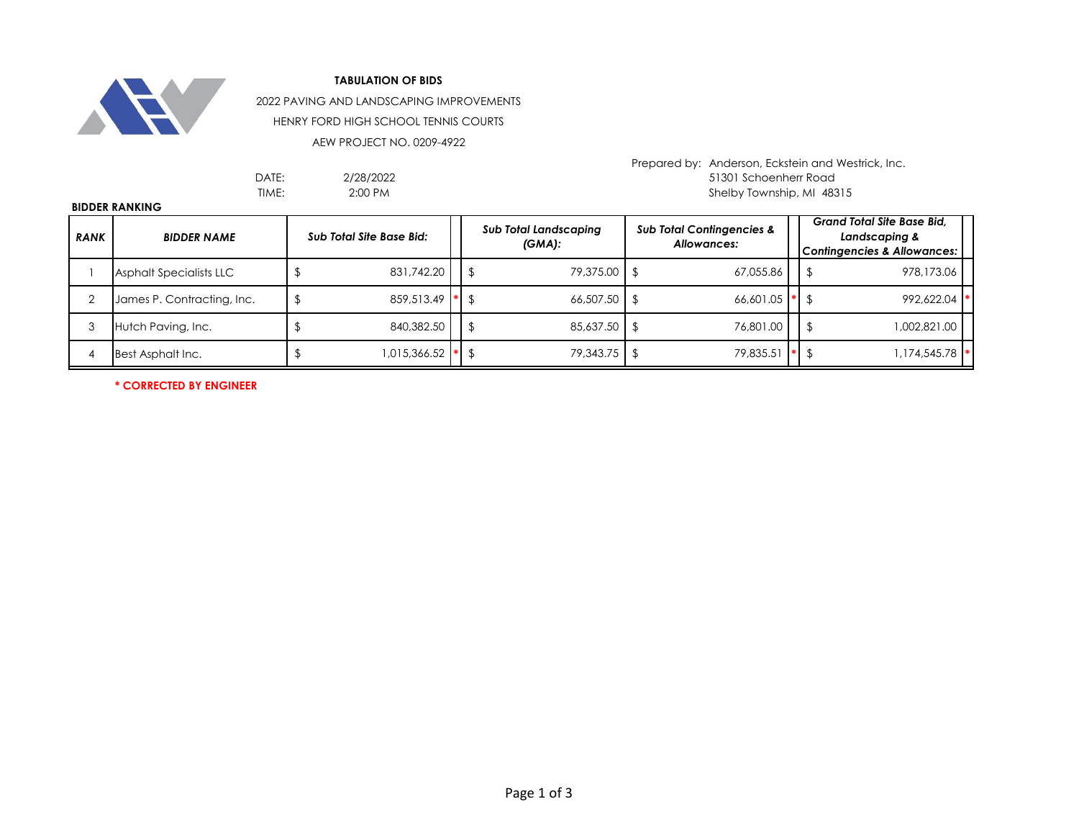

2022 PAVING AND LANDSCAPING IMPROVEMENTS

HENRY FORD HIGH SCHOOL TENNIS COURTS

AEW PROJECT NO. 0209-4922

| 2/28/2022 |
|-----------|
| 2:00 PM   |

Prepared by: Anderson, Eckstein and Westrick, Inc. DATE: 51301 Schoenherr Road Shelby Township, MI 48315

|             | <b>BIDDER RANKING</b>      |  |                                 |           |                                           |  |                                                     |  |                                                                                              |  |  |  |  |  |  |
|-------------|----------------------------|--|---------------------------------|-----------|-------------------------------------------|--|-----------------------------------------------------|--|----------------------------------------------------------------------------------------------|--|--|--|--|--|--|
| <b>RANK</b> | <b>BIDDER NAME</b>         |  | <b>Sub Total Site Base Bid:</b> |           | <b>Sub Total Landscaping</b><br>$(GMA)$ : |  | <b>Sub Total Contingencies &amp;</b><br>Allowances: |  | <b>Grand Total Site Base Bid.</b><br>Landscaping &<br><b>Contingencies &amp; Allowances:</b> |  |  |  |  |  |  |
|             | Asphalt Specialists LLC    |  | 831,742.20                      |           | 79,375.00 \$<br>-\$                       |  | 67,055.86                                           |  | 978,173.06<br>\$                                                                             |  |  |  |  |  |  |
|             | James P. Contracting, Inc. |  | 859.513.49                      | $\bullet$ | $66,507.50$ \$<br>- \$                    |  | $66,601.05$ *                                       |  | 992.622.04                                                                                   |  |  |  |  |  |  |
|             | Hutch Paving, Inc.         |  | 840,382.50                      |           | 85,637.50 \$<br>Ĵ.                        |  | 76,801.00                                           |  | 1,002,821.00                                                                                 |  |  |  |  |  |  |
|             | Best Asphalt Inc.          |  | 015,366.52                      |           | $ * $ \$                                  |  | 79,835.51                                           |  | 1,174,545.78                                                                                 |  |  |  |  |  |  |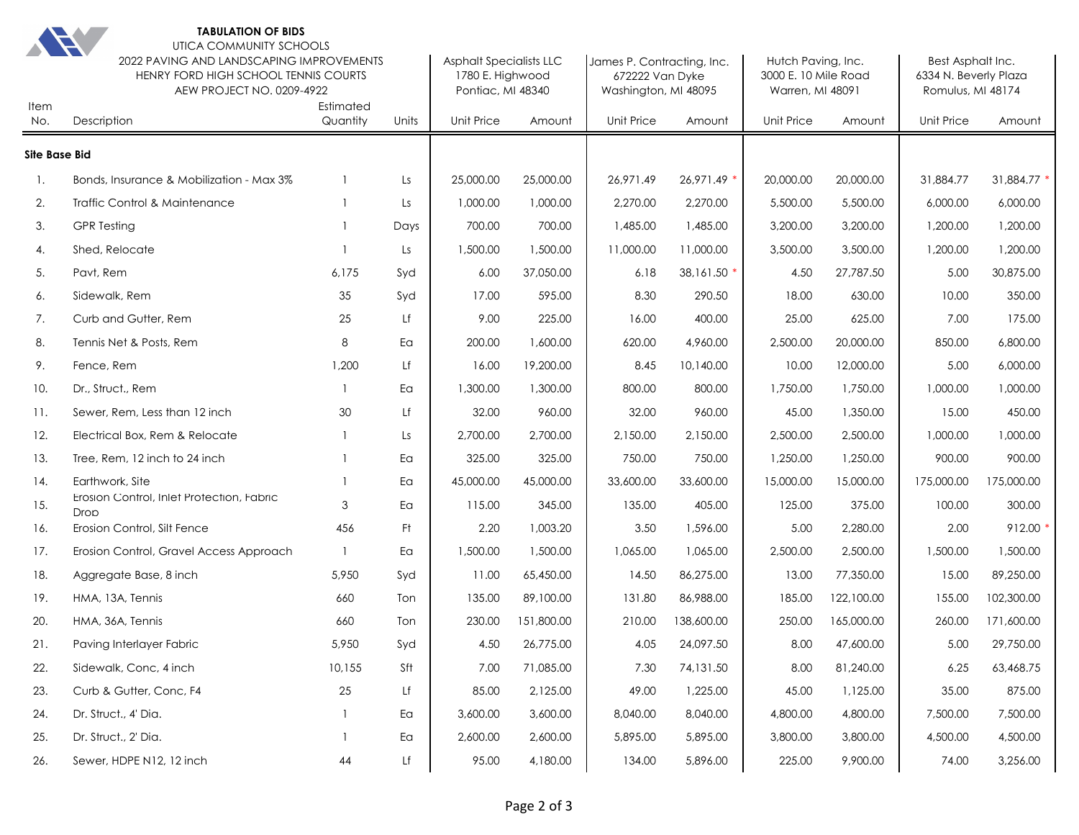

| <b>ARCHITECT</b><br>Item | UTICA COMMUNITY SCHOOLS<br>2022 PAVING AND LANDSCAPING IMPROVEMENTS<br>HENRY FORD HIGH SCHOOL TENNIS COURTS<br>AEW PROJECT NO. 0209-4922 |                       | <b>Asphalt Specialists LLC</b><br>1780 E. Highwood<br>Pontiac, MI 48340 |            | James P. Contracting, Inc.<br>672222 Van Dyke<br>Washington, MI 48095 |            | Hutch Paving, Inc.<br>3000 E. 10 Mile Road<br>Warren, MI 48091 |                   | Best Asphalt Inc.<br>6334 N. Beverly Plaza<br>Romulus, MI 48174 |            |             |
|--------------------------|------------------------------------------------------------------------------------------------------------------------------------------|-----------------------|-------------------------------------------------------------------------|------------|-----------------------------------------------------------------------|------------|----------------------------------------------------------------|-------------------|-----------------------------------------------------------------|------------|-------------|
| No.                      | Description                                                                                                                              | Estimated<br>Quantity | Units                                                                   | Unit Price | Amount                                                                | Unit Price | Amount                                                         | <b>Unit Price</b> | Amount                                                          | Unit Price | Amount      |
| <b>Site Base Bid</b>     |                                                                                                                                          |                       |                                                                         |            |                                                                       |            |                                                                |                   |                                                                 |            |             |
| 1.                       | Bonds, Insurance & Mobilization - Max 3%                                                                                                 | $\mathbf{1}$          | Ls                                                                      | 25,000.00  | 25,000.00                                                             | 26,971.49  | 26,971.49 *                                                    | 20,000.00         | 20,000.00                                                       | 31,884.77  | 31,884.77 * |
| 2.                       | Traffic Control & Maintenance                                                                                                            |                       | Ls                                                                      | 1,000.00   | 1,000.00                                                              | 2,270.00   | 2,270.00                                                       | 5,500.00          | 5,500.00                                                        | 6,000.00   | 6,000.00    |
| 3.                       | <b>GPR Testing</b>                                                                                                                       |                       | Days                                                                    | 700.00     | 700.00                                                                | 1,485.00   | 1,485.00                                                       | 3,200.00          | 3,200.00                                                        | 1,200.00   | 1,200.00    |
| 4.                       | Shed, Relocate                                                                                                                           | 1                     | Ls                                                                      | 1,500.00   | 1,500.00                                                              | 11,000.00  | 11,000.00                                                      | 3,500.00          | 3,500.00                                                        | 1,200.00   | 1,200.00    |
| 5.                       | Pavt, Rem                                                                                                                                | 6,175                 | Syd                                                                     | 6.00       | 37,050.00                                                             | 6.18       | 38,161.50 *                                                    | 4.50              | 27,787.50                                                       | 5.00       | 30,875.00   |
| 6.                       | Sidewalk, Rem                                                                                                                            | 35                    | Syd                                                                     | 17.00      | 595.00                                                                | 8.30       | 290.50                                                         | 18.00             | 630.00                                                          | 10.00      | 350.00      |
| 7.                       | Curb and Gutter, Rem                                                                                                                     | 25                    | Lf                                                                      | 9.00       | 225.00                                                                | 16.00      | 400.00                                                         | 25.00             | 625.00                                                          | 7.00       | 175.00      |
| 8.                       | Tennis Net & Posts, Rem                                                                                                                  | 8                     | Ea                                                                      | 200.00     | 1,600.00                                                              | 620.00     | 4,960.00                                                       | 2,500.00          | 20,000.00                                                       | 850.00     | 6,800.00    |
| 9.                       | Fence, Rem                                                                                                                               | 1,200                 | Lf                                                                      | 16.00      | 19,200.00                                                             | 8.45       | 10,140.00                                                      | 10.00             | 12,000.00                                                       | 5.00       | 6,000.00    |
| 10.                      | Dr., Struct., Rem                                                                                                                        | -1                    | Ea                                                                      | 1,300.00   | 1,300.00                                                              | 800.00     | 800.00                                                         | 1,750.00          | 1,750.00                                                        | 1,000.00   | 1,000.00    |
| 11.                      | Sewer, Rem. Less than 12 inch                                                                                                            | 30                    | Lf                                                                      | 32.00      | 960.00                                                                | 32.00      | 960.00                                                         | 45.00             | 1,350.00                                                        | 15.00      | 450.00      |
| 12.                      | Electrical Box, Rem & Relocate                                                                                                           | $\mathbf{1}$          | Ls                                                                      | 2,700.00   | 2.700.00                                                              | 2,150.00   | 2,150.00                                                       | 2,500.00          | 2,500.00                                                        | 1,000.00   | 1,000.00    |
| 13.                      | Tree, Rem, 12 inch to 24 inch                                                                                                            | $\mathbf{1}$          | Ea                                                                      | 325.00     | 325.00                                                                | 750.00     | 750.00                                                         | 1,250.00          | 1,250.00                                                        | 900.00     | 900.00      |
| 14.                      | Earthwork, Site                                                                                                                          |                       | Ea                                                                      | 45,000.00  | 45,000.00                                                             | 33,600.00  | 33,600.00                                                      | 15,000.00         | 15,000.00                                                       | 175,000.00 | 175,000.00  |
| 15.                      | Erosion Control, Inlet Protection, Fabric<br>Drop                                                                                        | 3                     | Ea                                                                      | 115.00     | 345.00                                                                | 135.00     | 405.00                                                         | 125.00            | 375.00                                                          | 100.00     | 300.00      |
| 16.                      | Erosion Control, Silt Fence                                                                                                              | 456                   | Ft                                                                      | 2.20       | 1,003.20                                                              | 3.50       | 1,596.00                                                       | 5.00              | 2,280.00                                                        | 2.00       | 912.00      |
| 17.                      | Erosion Control, Gravel Access Approach                                                                                                  | $\overline{1}$        | Ea                                                                      | 1,500.00   | 1,500.00                                                              | 1,065.00   | 1,065.00                                                       | 2,500.00          | 2,500.00                                                        | 1,500.00   | 1,500.00    |
| 18.                      | Aggregate Base, 8 inch                                                                                                                   | 5,950                 | Syd                                                                     | 11.00      | 65,450.00                                                             | 14.50      | 86,275.00                                                      | 13.00             | 77,350.00                                                       | 15.00      | 89,250.00   |
| 19.                      | HMA, 13A, Tennis                                                                                                                         | 660                   | Ton                                                                     | 135.00     | 89,100.00                                                             | 131.80     | 86,988.00                                                      | 185.00            | 122,100.00                                                      | 155.00     | 102,300.00  |
| 20.                      | HMA, 36A, Tennis                                                                                                                         | 660                   | Ton                                                                     | 230.00     | 151,800.00                                                            | 210.00     | 138,600.00                                                     | 250.00            | 165,000.00                                                      | 260.00     | 171,600.00  |
| 21.                      | Paving Interlayer Fabric                                                                                                                 | 5,950                 | Syd                                                                     | 4.50       | 26,775.00                                                             | 4.05       | 24,097.50                                                      | 8.00              | 47,600.00                                                       | 5.00       | 29,750.00   |
| 22.                      | Sidewalk, Conc, 4 inch                                                                                                                   | 10,155                | Sft                                                                     | 7.00       | 71,085.00                                                             | 7.30       | 74,131.50                                                      | 8.00              | 81,240.00                                                       | 6.25       | 63,468.75   |
| 23.                      | Curb & Gutter, Conc, F4                                                                                                                  | 25                    | Lf                                                                      | 85.00      | 2,125.00                                                              | 49.00      | 1,225.00                                                       | 45.00             | 1,125.00                                                        | 35.00      | 875.00      |
| 24.                      | Dr. Struct., 4' Dia.                                                                                                                     | 1                     | Ea                                                                      | 3,600.00   | 3,600.00                                                              | 8,040.00   | 8,040.00                                                       | 4,800.00          | 4,800.00                                                        | 7,500.00   | 7,500.00    |
| 25.                      | Dr. Struct., 2' Dia.                                                                                                                     |                       | Ea                                                                      | 2,600.00   | 2,600.00                                                              | 5,895.00   | 5,895.00                                                       | 3,800.00          | 3,800.00                                                        | 4,500.00   | 4,500.00    |
| 26.                      | Sewer, HDPE N12, 12 inch                                                                                                                 | $44\,$                | Lf                                                                      | 95.00      | 4,180.00                                                              | 134.00     | 5,896.00                                                       | 225.00            | 9,900.00                                                        | 74.00      | 3,256.00    |